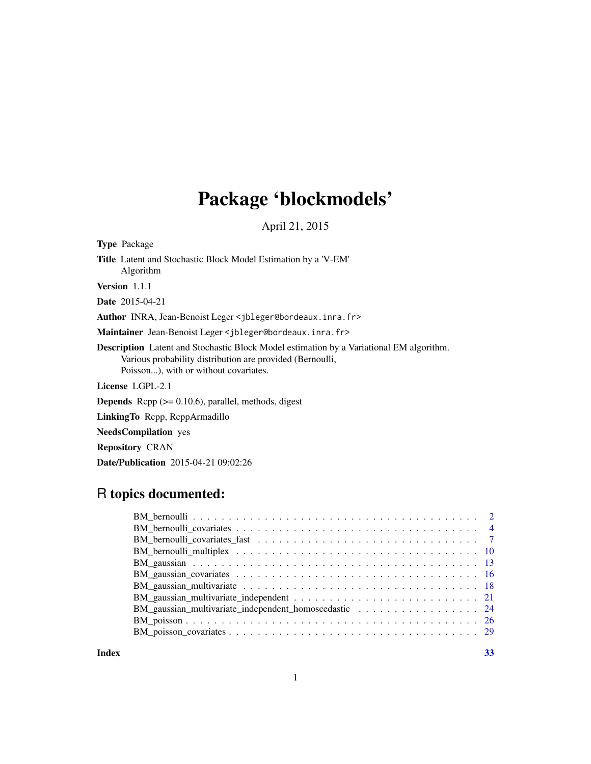## Package 'blockmodels'

April 21, 2015

Type Package Title Latent and Stochastic Block Model Estimation by a 'V-EM' Algorithm Version 1.1.1 Date 2015-04-21 Author INRA, Jean-Benoist Leger <jbleger@bordeaux.inra.fr> Maintainer Jean-Benoist Leger <jbleger@bordeaux.inra.fr> Description Latent and Stochastic Block Model estimation by a Variational EM algorithm. Various probability distribution are provided (Bernoulli, Poisson...), with or without covariates. License LGPL-2.1 Depends Rcpp (>= 0.10.6), parallel, methods, digest

LinkingTo Rcpp, RcppArmadillo

NeedsCompilation yes

Repository CRAN

Date/Publication 2015-04-21 09:02:26

## R topics documented:

| BM_gaussian_multivariate_independent_homoscedastic 24 |
|-------------------------------------------------------|
|                                                       |
|                                                       |
|                                                       |

**Index** [33](#page-32-0)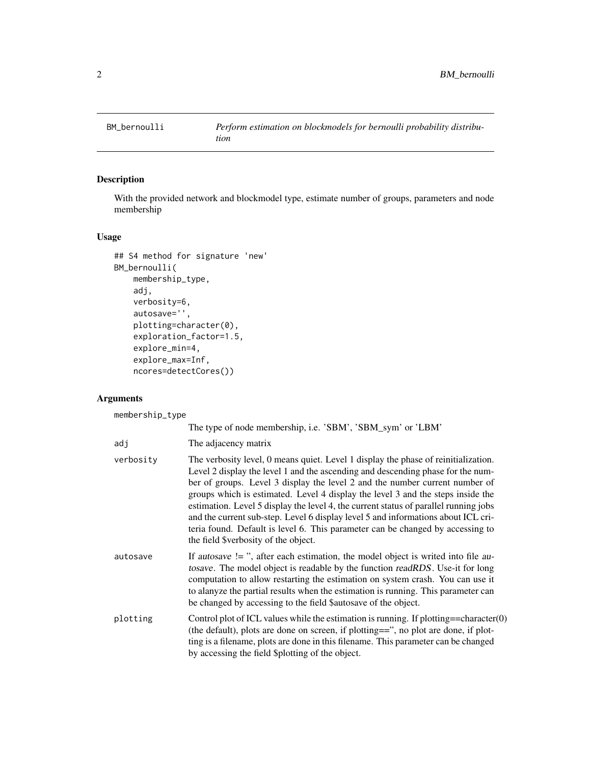<span id="page-1-0"></span>

## Description

With the provided network and blockmodel type, estimate number of groups, parameters and node membership

#### Usage

```
## S4 method for signature 'new'
BM_bernoulli(
    membership_type,
    adj,
    verbosity=6,
    autosave='',
    plotting=character(0),
    exploration_factor=1.5,
    explore_min=4,
    explore_max=Inf,
    ncores=detectCores())
```
## Arguments

membership\_type

|           | The type of node membership, i.e. 'SBM', 'SBM_sym' or 'LBM'                                                                                                                                                                                                                                                                                                                                                                                                                                                                                                                                                                                    |
|-----------|------------------------------------------------------------------------------------------------------------------------------------------------------------------------------------------------------------------------------------------------------------------------------------------------------------------------------------------------------------------------------------------------------------------------------------------------------------------------------------------------------------------------------------------------------------------------------------------------------------------------------------------------|
| adj       | The adjacency matrix                                                                                                                                                                                                                                                                                                                                                                                                                                                                                                                                                                                                                           |
| verbosity | The verbosity level, 0 means quiet. Level 1 display the phase of reinitialization.<br>Level 2 display the level 1 and the ascending and descending phase for the num-<br>ber of groups. Level 3 display the level 2 and the number current number of<br>groups which is estimated. Level 4 display the level 3 and the steps inside the<br>estimation. Level 5 display the level 4, the current status of parallel running jobs<br>and the current sub-step. Level 6 display level 5 and informations about ICL cri-<br>teria found. Default is level 6. This parameter can be changed by accessing to<br>the field \$verbosity of the object. |
| autosave  | If autosave $!=$ ", after each estimation, the model object is writed into file au-<br>tosave. The model object is readable by the function readRDS. Use-it for long<br>computation to allow restarting the estimation on system crash. You can use it<br>to alanyze the partial results when the estimation is running. This parameter can<br>be changed by accessing to the field \$autosave of the object.                                                                                                                                                                                                                                  |
| plotting  | Control plot of ICL values while the estimation is running. If plotting==character $(0)$<br>(the default), plots are done on screen, if plotting==", no plot are done, if plot-<br>ting is a filename, plots are done in this filename. This parameter can be changed<br>by accessing the field \$plotting of the object.                                                                                                                                                                                                                                                                                                                      |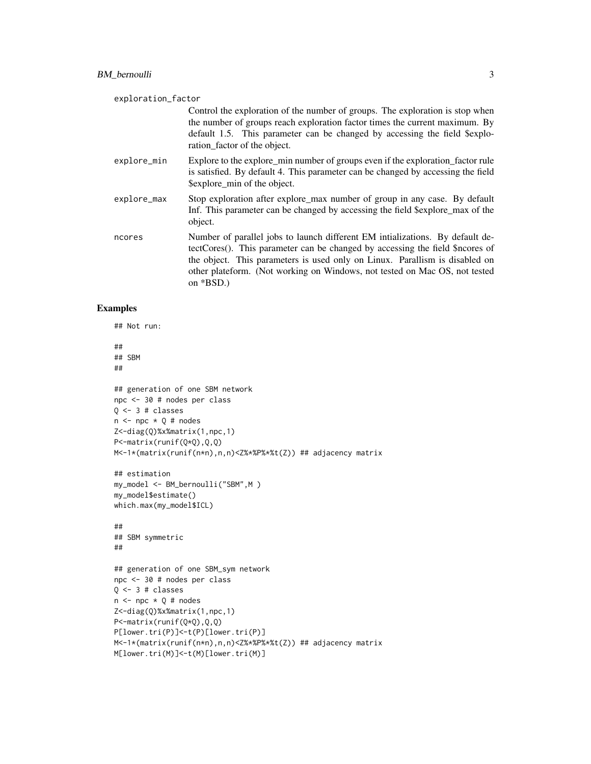| exploration_factor |                                                                                                                                                                                                                                                                                                                                             |
|--------------------|---------------------------------------------------------------------------------------------------------------------------------------------------------------------------------------------------------------------------------------------------------------------------------------------------------------------------------------------|
|                    | Control the exploration of the number of groups. The exploration is stop when<br>the number of groups reach exploration factor times the current maximum. By<br>default 1.5. This parameter can be changed by accessing the field \$explo-<br>ration_factor of the object.                                                                  |
| explore_min        | Explore to the explore_min number of groups even if the exploration_factor rule<br>is satisfied. By default 4. This parameter can be changed by accessing the field<br>\$explore_min of the object.                                                                                                                                         |
| explore_max        | Stop exploration after explore max number of group in any case. By default<br>Inf. This parameter can be changed by accessing the field \$explore_max of the<br>object.                                                                                                                                                                     |
| ncores             | Number of parallel jobs to launch different EM intializations. By default de-<br>tectCores(). This parameter can be changed by accessing the field \$ncores of<br>the object. This parameters is used only on Linux. Parallism is disabled on<br>other plateform. (Not working on Windows, not tested on Mac OS, not tested<br>on $*BSD.$ ) |

```
## Not run:
```

```
##
## SBM
##
## generation of one SBM network
npc <- 30 # nodes per class
Q \leftarrow 3 # classes
n \leq -npc \times Q \# nodesZ<-diag(Q)%x%matrix(1,npc,1)
P<-matrix(runif(Q*Q),Q,Q)
M<-1*(matrix(runif(n*n),n,n)<Z%*%P%*%t(Z)) ## adjacency matrix
## estimation
my_model <- BM_bernoulli("SBM",M )
my_model$estimate()
which.max(my_model$ICL)
##
## SBM symmetric
##
## generation of one SBM_sym network
npc <- 30 # nodes per class
Q \leftarrow 3 # classes
n \leq -npc \times Q \# nodesZ<-diag(Q)%x%matrix(1,npc,1)
P<-matrix(runif(Q*Q),Q,Q)
P[lower.tri(P)]<-t(P)[lower.tri(P)]
M<-1*(matrix(runif(n*n),n,n)<Z%*%P%*%t(Z)) ## adjacency matrix
M[lower.tri(M)]<-t(M)[lower.tri(M)]
```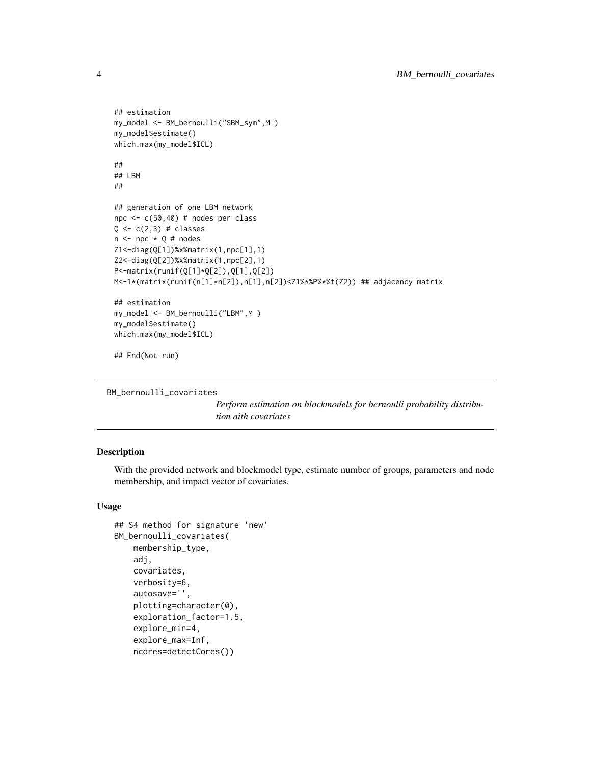```
## estimation
my_model <- BM_bernoulli("SBM_sym",M )
my_model$estimate()
which.max(my_model$ICL)
##
## LBM
##
## generation of one LBM network
npc <- c(50,40) # nodes per class
Q \leftarrow c(2,3) # classes
n \leq -npc \times Q # nodes
Z1<-diag(Q[1])%x%matrix(1,npc[1],1)
Z2<-diag(Q[2])%x%matrix(1,npc[2],1)
P<-matrix(runif(Q[1]*Q[2]),Q[1],Q[2])
M<-1*(matrix(runif(n[1]*n[2]),n[1],n[2])<Z1%*%P%*%t(Z2)) ## adjacency matrix
## estimation
my_model <- BM_bernoulli("LBM",M )
my_model$estimate()
which.max(my_model$ICL)
## End(Not run)
```

```
BM_bernoulli_covariates
```
*Perform estimation on blockmodels for bernoulli probability distribution aith covariates*

## Description

With the provided network and blockmodel type, estimate number of groups, parameters and node membership, and impact vector of covariates.

#### Usage

```
## S4 method for signature 'new'
BM_bernoulli_covariates(
   membership_type,
    adj,
    covariates,
    verbosity=6,
    autosave='',
    plotting=character(0),
    exploration_factor=1.5,
    explore_min=4,
    explore_max=Inf,
    ncores=detectCores())
```
<span id="page-3-0"></span>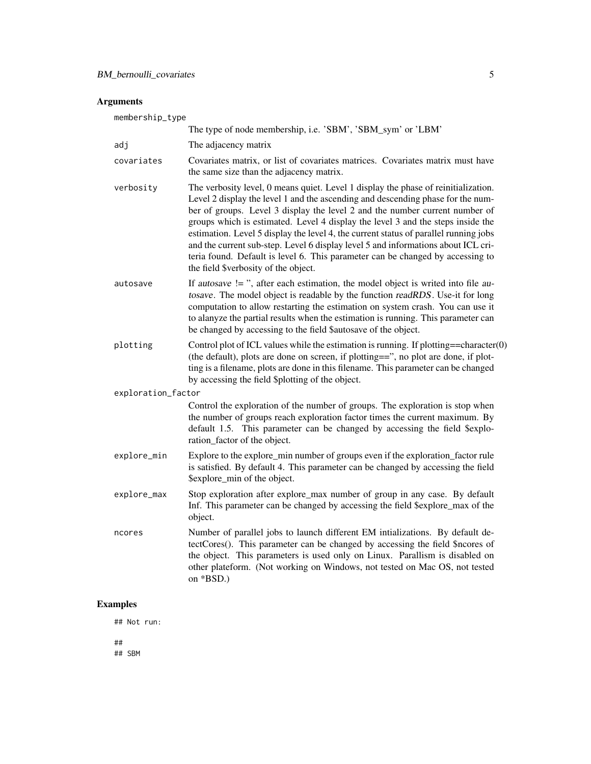## Arguments

| membership_type    |                                                                                                                                                                                                                                                                                                                                                                                                                                                                                                                                                                                                                                                |  |
|--------------------|------------------------------------------------------------------------------------------------------------------------------------------------------------------------------------------------------------------------------------------------------------------------------------------------------------------------------------------------------------------------------------------------------------------------------------------------------------------------------------------------------------------------------------------------------------------------------------------------------------------------------------------------|--|
|                    | The type of node membership, i.e. 'SBM', 'SBM_sym' or 'LBM'                                                                                                                                                                                                                                                                                                                                                                                                                                                                                                                                                                                    |  |
| adj                | The adjacency matrix                                                                                                                                                                                                                                                                                                                                                                                                                                                                                                                                                                                                                           |  |
| covariates         | Covariates matrix, or list of covariates matrices. Covariates matrix must have<br>the same size than the adjacency matrix.                                                                                                                                                                                                                                                                                                                                                                                                                                                                                                                     |  |
| verbosity          | The verbosity level, 0 means quiet. Level 1 display the phase of reinitialization.<br>Level 2 display the level 1 and the ascending and descending phase for the num-<br>ber of groups. Level 3 display the level 2 and the number current number of<br>groups which is estimated. Level 4 display the level 3 and the steps inside the<br>estimation. Level 5 display the level 4, the current status of parallel running jobs<br>and the current sub-step. Level 6 display level 5 and informations about ICL cri-<br>teria found. Default is level 6. This parameter can be changed by accessing to<br>the field \$verbosity of the object. |  |
| autosave           | If autosave $!=$ ", after each estimation, the model object is writed into file au-<br>tosave. The model object is readable by the function readRDS. Use-it for long<br>computation to allow restarting the estimation on system crash. You can use it<br>to alanyze the partial results when the estimation is running. This parameter can<br>be changed by accessing to the field \$autosave of the object.                                                                                                                                                                                                                                  |  |
| plotting           | Control plot of ICL values while the estimation is running. If plotting= $=$ character $(0)$<br>(the default), plots are done on screen, if plotting==", no plot are done, if plot-<br>ting is a filename, plots are done in this filename. This parameter can be changed<br>by accessing the field \$plotting of the object.                                                                                                                                                                                                                                                                                                                  |  |
| exploration_factor |                                                                                                                                                                                                                                                                                                                                                                                                                                                                                                                                                                                                                                                |  |
|                    | Control the exploration of the number of groups. The exploration is stop when<br>the number of groups reach exploration factor times the current maximum. By<br>default 1.5. This parameter can be changed by accessing the field \$explo-<br>ration_factor of the object.                                                                                                                                                                                                                                                                                                                                                                     |  |
| explore_min        | Explore to the explore_min number of groups even if the exploration_factor rule<br>is satisfied. By default 4. This parameter can be changed by accessing the field<br>\$explore_min of the object.                                                                                                                                                                                                                                                                                                                                                                                                                                            |  |
| explore_max        | Stop exploration after explore_max number of group in any case. By default<br>Inf. This parameter can be changed by accessing the field \$explore_max of the<br>object.                                                                                                                                                                                                                                                                                                                                                                                                                                                                        |  |
| ncores             | Number of parallel jobs to launch different EM intializations. By default de-<br>tectCores(). This parameter can be changed by accessing the field \$ncores of<br>the object. This parameters is used only on Linux. Parallism is disabled on<br>other plateform. (Not working on Windows, not tested on Mac OS, not tested<br>on *BSD.)                                                                                                                                                                                                                                                                                                       |  |

## Examples

## Not run:

## ## SBM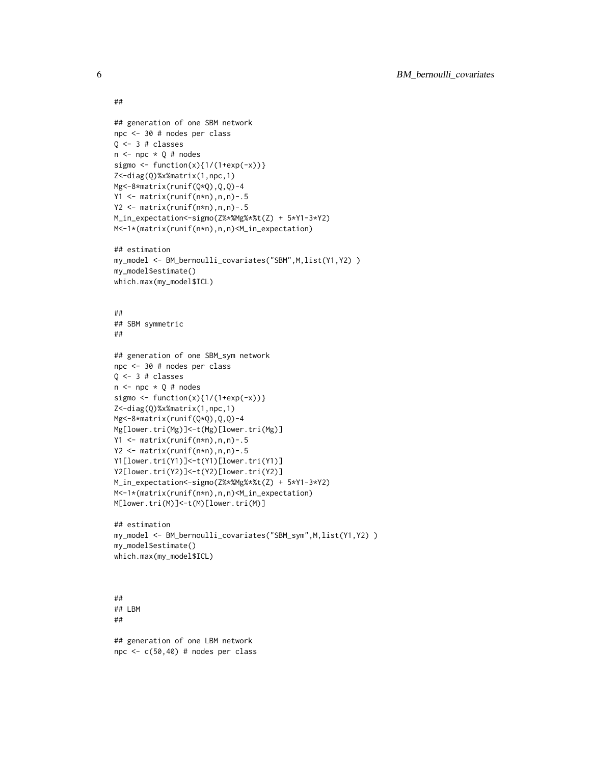```
##
## generation of one SBM network
npc <- 30 # nodes per class
Q \leftarrow 3 # classes
n \leq -npc \times Q \# nodessigmo <- function(x){1/(1+exp(-x))}
Z<-diag(Q)%x%matrix(1,npc,1)
Mg<-8*matrix(runif(Q*Q),Q,Q)-4
Y1 <- matrix(runif(n*n),n,n)-.5
Y2 <- matrix(runif(n*n),n,n)-.5
M_in_expectation<-sigmo(Z%*%Mg%*%t(Z) + 5*Y1-3*Y2)
M<-1*(matrix(runif(n*n),n,n)<M_in_expectation)
## estimation
my_model <- BM_bernoulli_covariates("SBM",M,list(Y1,Y2) )
my_model$estimate()
which.max(my_model$ICL)
##
## SBM symmetric
##
## generation of one SBM_sym network
npc <- 30 # nodes per class
Q \leftarrow 3 # classes
n \leq -npc \times Q # nodes
sigmo <- function(x){1/(1+exp(-x))}
Z<-diag(Q)%x%matrix(1,npc,1)
Mg<-8*matrix(runif(Q*Q),Q,Q)-4
Mg[lower.tri(Mg)]<-t(Mg)[lower.tri(Mg)]
Y1 <- matrix(runif(n*n),n,n)-.5
Y2 <- matrix(runif(n*n),n,n)-.5
Y1[lower.tri(Y1)]<-t(Y1)[lower.tri(Y1)]
Y2[lower.tri(Y2)]<-t(Y2)[lower.tri(Y2)]
M_in_expectation<-sigmo(Z%*%Mg%*%t(Z) + 5*Y1-3*Y2)
M<-1*(matrix(runif(n*n),n,n)<M_in_expectation)
M[lower.tri(M)]<-t(M)[lower.tri(M)]
## estimation
my_model <- BM_bernoulli_covariates("SBM_sym",M,list(Y1,Y2) )
my_model$estimate()
which.max(my_model$ICL)
##
## LBM
##
```
## generation of one LBM network npc  $\leq$  c(50,40) # nodes per class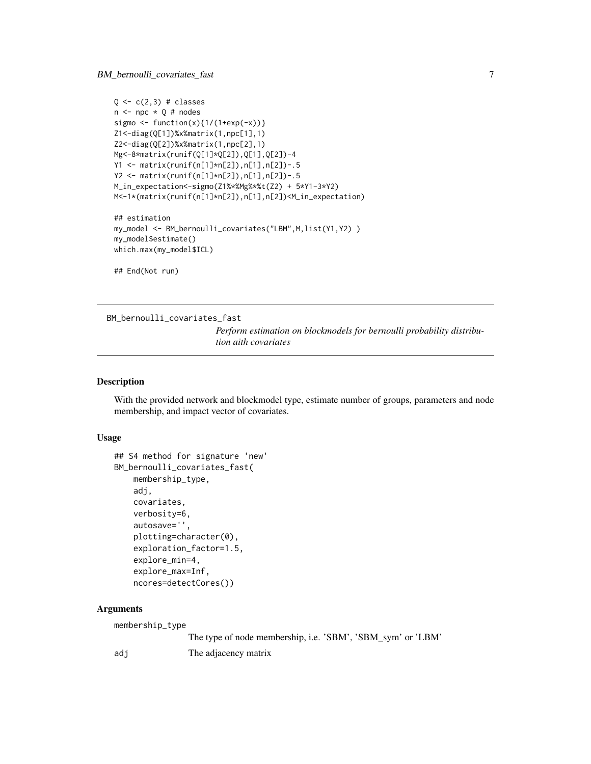```
Q \leftarrow c(2,3) # classes
n \leq -npc \times Q \# nodessigmo <- function(x){1/(1+exp(-x))}
Z1<-diag(Q[1])%x%matrix(1,npc[1],1)
Z2<-diag(Q[2])%x%matrix(1,npc[2],1)
Mg<-8*matrix(runif(Q[1]*Q[2]),Q[1],Q[2])-4
Y1 <- matrix(runif(n[1]*n[2]),n[1],n[2])-.5
Y2 <- matrix(runif(n[1]*n[2]),n[1],n[2])-.5
M_in_expectation<-sigmo(Z1%*%Mg%*%t(Z2) + 5*Y1-3*Y2)
M<-1*(matrix(runif(n[1]*n[2]),n[1],n[2])<M_in_expectation)
## estimation
my_model <- BM_bernoulli_covariates("LBM",M,list(Y1,Y2) )
my_model$estimate()
which.max(my_model$ICL)
```
## End(Not run)

BM\_bernoulli\_covariates\_fast

*Perform estimation on blockmodels for bernoulli probability distribution aith covariates*

## Description

With the provided network and blockmodel type, estimate number of groups, parameters and node membership, and impact vector of covariates.

#### Usage

```
## S4 method for signature 'new'
BM_bernoulli_covariates_fast(
    membership_type,
    adj,
    covariates,
    verbosity=6,
    autosave='',
    plotting=character(0),
    exploration_factor=1.5,
    explore_min=4,
    explore_max=Inf,
    ncores=detectCores())
```
#### Arguments

```
membership_type
               The type of node membership, i.e. 'SBM', 'SBM_sym' or 'LBM'
adj The adjacency matrix
```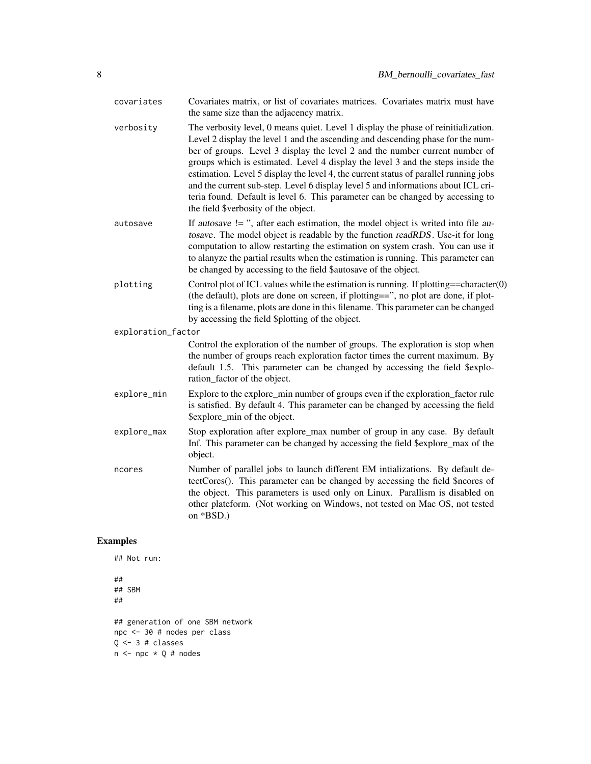| Covariates matrix, or list of covariates matrices. Covariates matrix must have<br>the same size than the adjacency matrix.                                                                                                                                                                                                                                                                                                                                                                                                                                                                                                                     |
|------------------------------------------------------------------------------------------------------------------------------------------------------------------------------------------------------------------------------------------------------------------------------------------------------------------------------------------------------------------------------------------------------------------------------------------------------------------------------------------------------------------------------------------------------------------------------------------------------------------------------------------------|
| The verbosity level, 0 means quiet. Level 1 display the phase of reinitialization.<br>Level 2 display the level 1 and the ascending and descending phase for the num-<br>ber of groups. Level 3 display the level 2 and the number current number of<br>groups which is estimated. Level 4 display the level 3 and the steps inside the<br>estimation. Level 5 display the level 4, the current status of parallel running jobs<br>and the current sub-step. Level 6 display level 5 and informations about ICL cri-<br>teria found. Default is level 6. This parameter can be changed by accessing to<br>the field \$verbosity of the object. |
| If autosave $!=$ ", after each estimation, the model object is writed into file au-<br>tosave. The model object is readable by the function readRDS. Use-it for long<br>computation to allow restarting the estimation on system crash. You can use it<br>to alanyze the partial results when the estimation is running. This parameter can<br>be changed by accessing to the field \$autosave of the object.                                                                                                                                                                                                                                  |
| Control plot of ICL values while the estimation is running. If plotting==character $(0)$<br>(the default), plots are done on screen, if plotting==", no plot are done, if plot-<br>ting is a filename, plots are done in this filename. This parameter can be changed<br>by accessing the field \$plotting of the object.                                                                                                                                                                                                                                                                                                                      |
| exploration_factor                                                                                                                                                                                                                                                                                                                                                                                                                                                                                                                                                                                                                             |
| Control the exploration of the number of groups. The exploration is stop when<br>the number of groups reach exploration factor times the current maximum. By<br>default 1.5. This parameter can be changed by accessing the field \$explo-<br>ration_factor of the object.                                                                                                                                                                                                                                                                                                                                                                     |
| Explore to the explore_min number of groups even if the exploration_factor rule<br>is satisfied. By default 4. This parameter can be changed by accessing the field<br>\$explore_min of the object.                                                                                                                                                                                                                                                                                                                                                                                                                                            |
| Stop exploration after explore_max number of group in any case. By default<br>Inf. This parameter can be changed by accessing the field \$explore_max of the<br>object.                                                                                                                                                                                                                                                                                                                                                                                                                                                                        |
| Number of parallel jobs to launch different EM intializations. By default de-<br>tectCores(). This parameter can be changed by accessing the field \$ncores of<br>the object. This parameters is used only on Linux. Parallism is disabled on<br>other plateform. (Not working on Windows, not tested on Mac OS, not tested<br>on *BSD.)                                                                                                                                                                                                                                                                                                       |
|                                                                                                                                                                                                                                                                                                                                                                                                                                                                                                                                                                                                                                                |

```
## Not run:
##
## SBM
##
## generation of one SBM network
npc <- 30 # nodes per class
Q \leftarrow 3 # classes
n \leq -npc \times Q \# nodes
```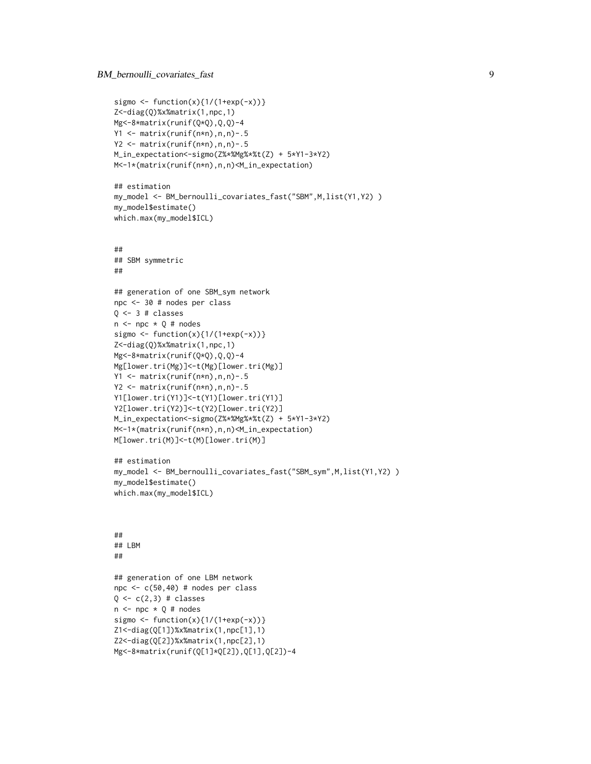```
sigmo \leftarrow function(x){1/(1+exp(-x))}
Z<-diag(Q)%x%matrix(1,npc,1)
Mg<-8*matrix(runif(Q*Q),Q,Q)-4
Y1 <- matrix(runif(n*n),n,n)-.5
Y2 <- matrix(runif(n*n),n,n)-.5
M_in_expectation<-sigmo(Z%*%Mg%*%t(Z) + 5*Y1-3*Y2)
M<-1*(matrix(runif(n*n),n,n)<M_in_expectation)
## estimation
my_model <- BM_bernoulli_covariates_fast("SBM",M,list(Y1,Y2))
my_model$estimate()
which.max(my_model$ICL)
##
## SBM symmetric
##
## generation of one SBM_sym network
npc <- 30 # nodes per class
Q \leftarrow 3 # classes
n \leq -npc \times 0 # nodes
sigmo <- function(x){1/(1+exp(-x))}
Z<-diag(Q)%x%matrix(1,npc,1)
Mg<-8*matrix(runif(Q*Q),Q,Q)-4
Mg[lower.tri(Mg)]<-t(Mg)[lower.tri(Mg)]
Y1 <- matrix(runif(n*n),n,n)-.5
Y2 <- matrix(runif(n*n),n,n)-.5
Y1[lower.tri(Y1)]<-t(Y1)[lower.tri(Y1)]
Y2[lower.tri(Y2)]<-t(Y2)[lower.tri(Y2)]
M_in_expectation<-sigmo(Z%*%Mg%*%t(Z) + 5*Y1-3*Y2)
M<-1*(matrix(runif(n*n),n,n)<M_in_expectation)
M[lower.tri(M)]<-t(M)[lower.tri(M)]
## estimation
my_model <- BM_bernoulli_covariates_fast("SBM_sym",M,list(Y1,Y2) )
my_model$estimate()
which.max(my_model$ICL)
##
## LBM
##
## generation of one LBM network
npc <- c(50,40) # nodes per class
Q \leftarrow c(2,3) # classes
n \leq -npc \times Q # nodes
sigmo <- function(x){1/(1+exp(-x))}
Z1<-diag(Q[1])%x%matrix(1,npc[1],1)
Z2<-diag(Q[2])%x%matrix(1,npc[2],1)
Mg<-8*matrix(runif(Q[1]*Q[2]),Q[1],Q[2])-4
```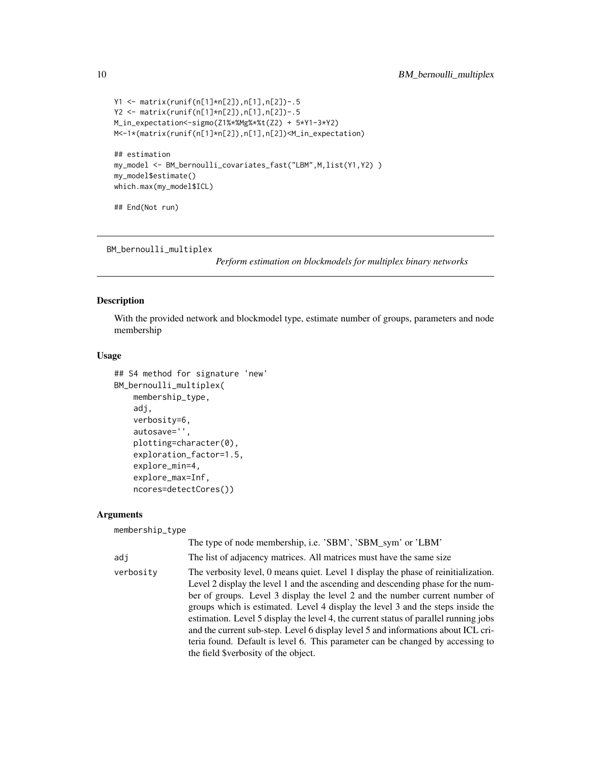```
Y1 <- matrix(runif(n[1]*n[2]),n[1],n[2])-.5
Y2 <- matrix(runif(n[1]*n[2]),n[1],n[2])-.5
M_in_expectation<-sigmo(Z1%*%Mg%*%t(Z2) + 5*Y1-3*Y2)
M<-1*(matrix(runif(n[1]*n[2]),n[1],n[2])<M_in_expectation)
## estimation
my_model <- BM_bernoulli_covariates_fast("LBM",M,list(Y1,Y2) )
my_model$estimate()
which.max(my_model$ICL)
## End(Not run)
```
BM\_bernoulli\_multiplex

*Perform estimation on blockmodels for multiplex binary networks*

#### Description

With the provided network and blockmodel type, estimate number of groups, parameters and node membership

### Usage

```
## S4 method for signature 'new'
BM_bernoulli_multiplex(
    membership_type,
    adj,
    verbosity=6,
    autosave='',
    plotting=character(0),
    exploration_factor=1.5,
    explore_min=4,
    explore_max=Inf,
    ncores=detectCores())
```
#### Arguments

| membership_type |                                                                                                                                                                                                                                                                                                                                                                                                                                                                                                                                                                                                                                                |
|-----------------|------------------------------------------------------------------------------------------------------------------------------------------------------------------------------------------------------------------------------------------------------------------------------------------------------------------------------------------------------------------------------------------------------------------------------------------------------------------------------------------------------------------------------------------------------------------------------------------------------------------------------------------------|
|                 | The type of node membership, i.e. 'SBM', 'SBM_sym' or 'LBM'                                                                                                                                                                                                                                                                                                                                                                                                                                                                                                                                                                                    |
| adi             | The list of adjacency matrices. All matrices must have the same size                                                                                                                                                                                                                                                                                                                                                                                                                                                                                                                                                                           |
| verbosity       | The verbosity level, 0 means quiet. Level 1 display the phase of reinitialization.<br>Level 2 display the level 1 and the ascending and descending phase for the num-<br>ber of groups. Level 3 display the level 2 and the number current number of<br>groups which is estimated. Level 4 display the level 3 and the steps inside the<br>estimation. Level 5 display the level 4, the current status of parallel running jobs<br>and the current sub-step. Level 6 display level 5 and informations about ICL cri-<br>teria found. Default is level 6. This parameter can be changed by accessing to<br>the field \$verbosity of the object. |

<span id="page-9-0"></span>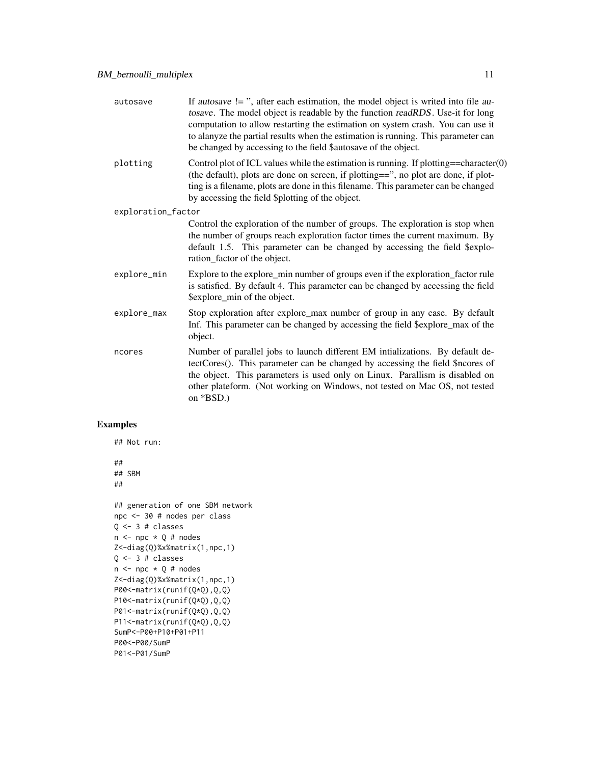| autosave           | If autosave $!=$ ", after each estimation, the model object is writed into file au-<br>tosave. The model object is readable by the function readRDS. Use-it for long<br>computation to allow restarting the estimation on system crash. You can use it<br>to alanyze the partial results when the estimation is running. This parameter can<br>be changed by accessing to the field \$autosave of the object. |
|--------------------|---------------------------------------------------------------------------------------------------------------------------------------------------------------------------------------------------------------------------------------------------------------------------------------------------------------------------------------------------------------------------------------------------------------|
| plotting           | Control plot of ICL values while the estimation is running. If plotting==character $(0)$<br>(the default), plots are done on screen, if plotting==", no plot are done, if plot-<br>ting is a filename, plots are done in this filename. This parameter can be changed<br>by accessing the field \$plotting of the object.                                                                                     |
| exploration_factor |                                                                                                                                                                                                                                                                                                                                                                                                               |
|                    | Control the exploration of the number of groups. The exploration is stop when<br>the number of groups reach exploration factor times the current maximum. By<br>default 1.5. This parameter can be changed by accessing the field \$explo-<br>ration_factor of the object.                                                                                                                                    |
| explore_min        | Explore to the explore_min number of groups even if the exploration_factor rule<br>is satisfied. By default 4. This parameter can be changed by accessing the field<br>\$explore_min of the object.                                                                                                                                                                                                           |
| explore_max        | Stop exploration after explore_max number of group in any case. By default<br>Inf. This parameter can be changed by accessing the field \$explore_max of the<br>object.                                                                                                                                                                                                                                       |
| ncores             | Number of parallel jobs to launch different EM intializations. By default de-<br>tectCores(). This parameter can be changed by accessing the field \$ncores of<br>the object. This parameters is used only on Linux. Parallism is disabled on<br>other plateform. (Not working on Windows, not tested on Mac OS, not tested<br>on *BSD.)                                                                      |

```
## Not run:
##
## SBM
##
## generation of one SBM network
npc <- 30 # nodes per class
Q \leftarrow 3 # classes
n \leq -npc \times Q \# nodesZ<-diag(Q)%x%matrix(1,npc,1)
Q \leftarrow 3 # classes
n <- npc * Q # nodes
Z<-diag(Q)%x%matrix(1,npc,1)
P00<-matrix(runif(Q*Q),Q,Q)
P10<-matrix(runif(Q*Q),Q,Q)
P01<-matrix(runif(Q*Q),Q,Q)
P11<-matrix(runif(Q*Q),Q,Q)
SumP<-P00+P10+P01+P11
P00<-P00/SumP
P01<-P01/SumP
```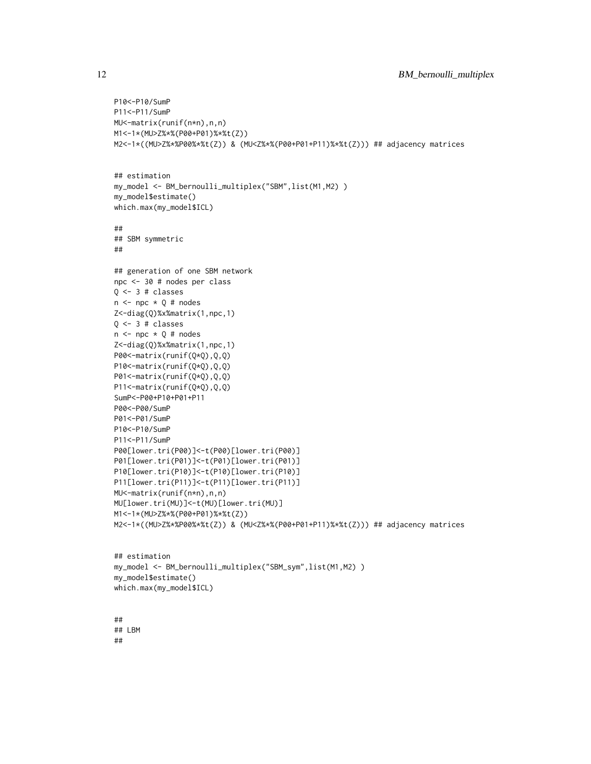```
P10<-P10/SumP
P11<-P11/SumP
MU<-matrix(runif(n*n),n,n)
M1<-1*(MU>Z%*%(P00+P01)%*%t(Z))
M2<-1*((MU>Z%*%P00%*%t(Z)) & (MU<Z%*%(P00+P01+P11)%*%t(Z))) ## adjacency matrices
## estimation
my_model <- BM_bernoulli_multiplex("SBM",list(M1,M2) )
my_model$estimate()
which.max(my_model$ICL)
##
## SBM symmetric
##
## generation of one SBM network
npc <- 30 # nodes per class
Q \leftarrow 3 # classes
n \leq -npc \times Q \# nodesZ<-diag(Q)%x%matrix(1,npc,1)
0 \le -3 # classes
n \leq -npc \times Q \# nodesZ<-diag(Q)%x%matrix(1,npc,1)
P00<-matrix(runif(Q*Q),Q,Q)
P10<-matrix(runif(Q*Q),Q,Q)
P01<-matrix(runif(Q*Q),Q,Q)
P11<-matrix(runif(Q*Q),Q,Q)
SumP<-P00+P10+P01+P11
P00<-P00/SumP
P01<-P01/SumP
P10<-P10/SumP
P11<-P11/SumP
P00[lower.tri(P00)]<-t(P00)[lower.tri(P00)]
P01[lower.tri(P01)]<-t(P01)[lower.tri(P01)]
P10[lower.tri(P10)]<-t(P10)[lower.tri(P10)]
P11[lower.tri(P11)]<-t(P11)[lower.tri(P11)]
MU<-matrix(runif(n*n),n,n)
MU[lower.tri(MU)]<-t(MU)[lower.tri(MU)]
M1<-1*(MU>Z%*%(P00+P01)%*%t(Z))
M2<-1*((MU>Z%*%P00%*%t(Z)) & (MU<Z%*%(P00+P01+P11)%*%t(Z))) ## adjacency matrices
## estimation
my_model <- BM_bernoulli_multiplex("SBM_sym",list(M1,M2) )
my_model$estimate()
which.max(my_model$ICL)
```
## ## LBM ##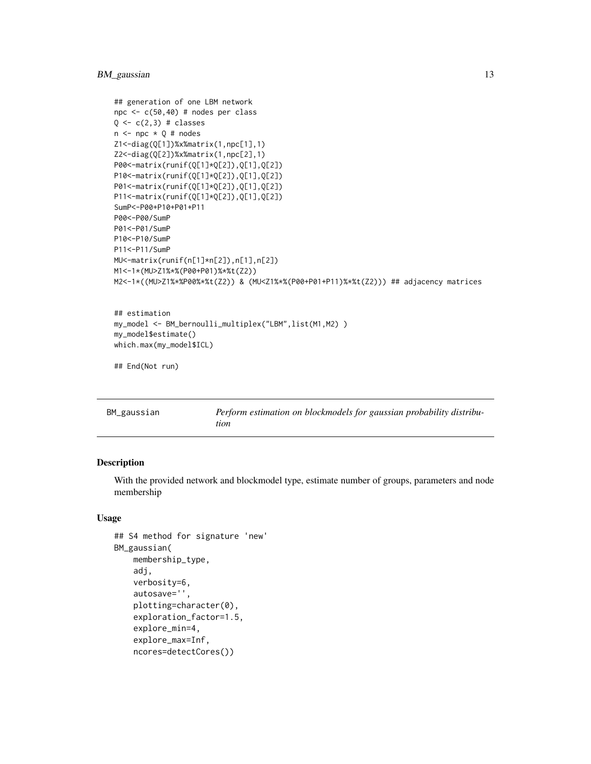## <span id="page-12-0"></span>BM\_gaussian 13

```
## generation of one LBM network
npc <- c(50,40) # nodes per class
Q \leftarrow c(2,3) # classes
n \leq -npc \times Q \# nodesZ1<-diag(Q[1])%x%matrix(1,npc[1],1)
Z2<-diag(Q[2])%x%matrix(1,npc[2],1)
P00<-matrix(runif(Q[1]*Q[2]),Q[1],Q[2])
P10<-matrix(runif(Q[1]*Q[2]),Q[1],Q[2])
P01<-matrix(runif(Q[1]*Q[2]),Q[1],Q[2])
P11<-matrix(runif(Q[1]*Q[2]),Q[1],Q[2])
SumP<-P00+P10+P01+P11
P00<-P00/SumP
P01<-P01/SumP
P10<-P10/SumP
P11<-P11/SumP
MU<-matrix(runif(n[1]*n[2]),n[1],n[2])
M1<-1*(MU>Z1%*%(P00+P01)%*%t(Z2))
M2<-1*((MU>Z1%*%P00%*%t(Z2)) & (MU<Z1%*%(P00+P01+P11)%*%t(Z2))) ## adjacency matrices
## estimation
my_model <- BM_bernoulli_multiplex("LBM",list(M1,M2) )
```

```
## End(Not run)
```
my\_model\$estimate() which.max(my\_model\$ICL)

| BM_gaussian | Perform estimation on blockmodels for gaussian probability distribu- |
|-------------|----------------------------------------------------------------------|
|             | tion                                                                 |

## Description

With the provided network and blockmodel type, estimate number of groups, parameters and node membership

#### Usage

```
## S4 method for signature 'new'
BM_gaussian(
   membership_type,
    adj,
    verbosity=6,
    autosave='',
    plotting=character(0),
    exploration_factor=1.5,
    explore_min=4,
    explore_max=Inf,
    ncores=detectCores())
```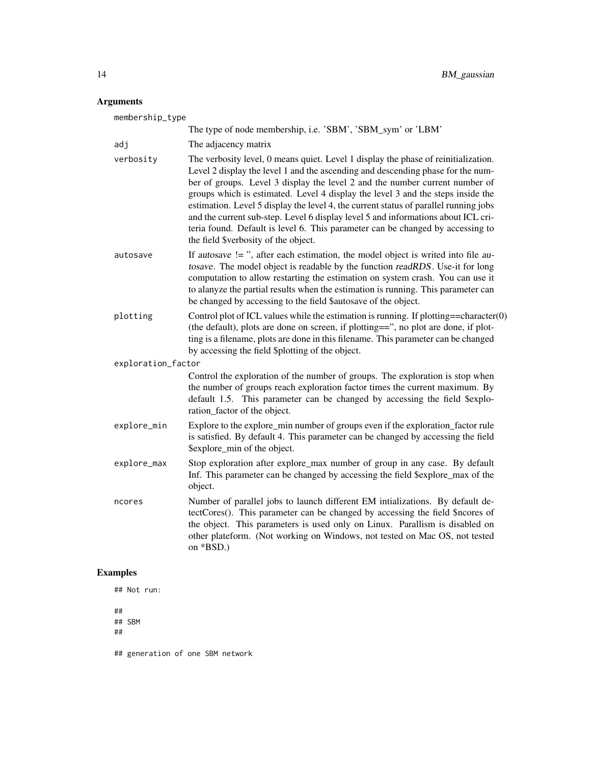## Arguments

| membership_type    |                                                                                                                                                                                                                                                                                                                                                                                                                                                                                                                                                                                                                                                |
|--------------------|------------------------------------------------------------------------------------------------------------------------------------------------------------------------------------------------------------------------------------------------------------------------------------------------------------------------------------------------------------------------------------------------------------------------------------------------------------------------------------------------------------------------------------------------------------------------------------------------------------------------------------------------|
|                    | The type of node membership, i.e. 'SBM', 'SBM_sym' or 'LBM'                                                                                                                                                                                                                                                                                                                                                                                                                                                                                                                                                                                    |
| adj                | The adjacency matrix                                                                                                                                                                                                                                                                                                                                                                                                                                                                                                                                                                                                                           |
| verbosity          | The verbosity level, 0 means quiet. Level 1 display the phase of reinitialization.<br>Level 2 display the level 1 and the ascending and descending phase for the num-<br>ber of groups. Level 3 display the level 2 and the number current number of<br>groups which is estimated. Level 4 display the level 3 and the steps inside the<br>estimation. Level 5 display the level 4, the current status of parallel running jobs<br>and the current sub-step. Level 6 display level 5 and informations about ICL cri-<br>teria found. Default is level 6. This parameter can be changed by accessing to<br>the field \$verbosity of the object. |
| autosave           | If autosave != ", after each estimation, the model object is writed into file au-<br>tosave. The model object is readable by the function readRDS. Use-it for long<br>computation to allow restarting the estimation on system crash. You can use it<br>to alanyze the partial results when the estimation is running. This parameter can<br>be changed by accessing to the field \$autosave of the object.                                                                                                                                                                                                                                    |
| plotting           | Control plot of ICL values while the estimation is running. If plotting==character $(0)$<br>(the default), plots are done on screen, if plotting==", no plot are done, if plot-<br>ting is a filename, plots are done in this filename. This parameter can be changed<br>by accessing the field \$plotting of the object.                                                                                                                                                                                                                                                                                                                      |
| exploration_factor |                                                                                                                                                                                                                                                                                                                                                                                                                                                                                                                                                                                                                                                |
|                    | Control the exploration of the number of groups. The exploration is stop when<br>the number of groups reach exploration factor times the current maximum. By<br>default 1.5. This parameter can be changed by accessing the field \$explo-<br>ration_factor of the object.                                                                                                                                                                                                                                                                                                                                                                     |
| explore_min        | Explore to the explore_min number of groups even if the exploration_factor rule<br>is satisfied. By default 4. This parameter can be changed by accessing the field<br>\$explore_min of the object.                                                                                                                                                                                                                                                                                                                                                                                                                                            |
| explore_max        | Stop exploration after explore_max number of group in any case. By default<br>Inf. This parameter can be changed by accessing the field \$explore_max of the<br>object.                                                                                                                                                                                                                                                                                                                                                                                                                                                                        |
| ncores             | Number of parallel jobs to launch different EM intializations. By default de-<br>tectCores(). This parameter can be changed by accessing the field \$ncores of<br>the object. This parameters is used only on Linux. Parallism is disabled on<br>other plateform. (Not working on Windows, not tested on Mac OS, not tested<br>on *BSD.)                                                                                                                                                                                                                                                                                                       |

## Examples

## Not run:

## ## SBM

##

## generation of one SBM network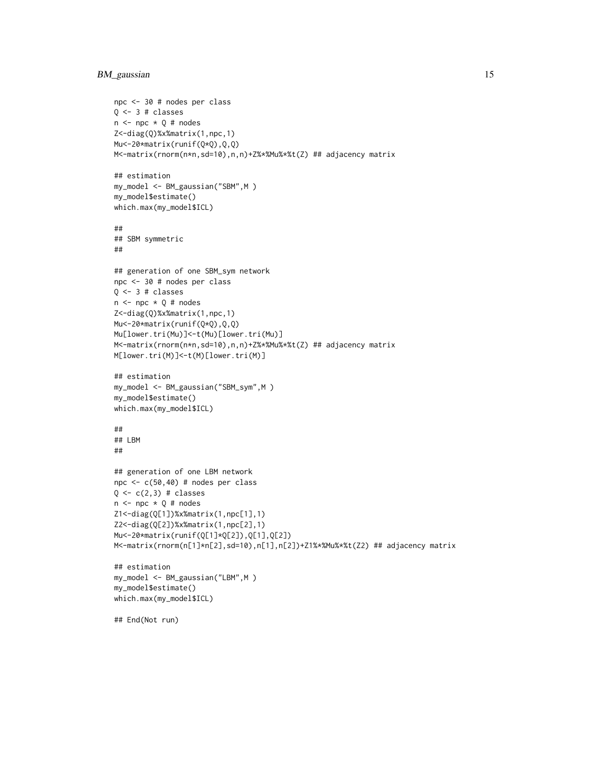## BM\_gaussian 15

```
npc <- 30 # nodes per class
Q \leftarrow 3 # classes
n \leq -npc \times Q \# nodesZ<-diag(Q)%x%matrix(1,npc,1)
Mu<-20*matrix(runif(Q*Q),Q,Q)
M<-matrix(rnorm(n*n,sd=10),n,n)+Z%*%Mu%*%t(Z) ## adjacency matrix
## estimation
my_model <- BM_gaussian("SBM",M )
my_model$estimate()
which.max(my_model$ICL)
##
## SBM symmetric
##
## generation of one SBM_sym network
npc <- 30 # nodes per class
Q \leftarrow 3 # classes
n \leq -npc \times Q \# nodesZ<-diag(Q)%x%matrix(1,npc,1)
Mu<-20*matrix(runif(Q*Q),Q,Q)
Mu[lower.tri(Mu)]<-t(Mu)[lower.tri(Mu)]
M<-matrix(rnorm(n*n,sd=10),n,n)+Z%*%Mu%*%t(Z) ## adjacency matrix
M[lower.tri(M)]<-t(M)[lower.tri(M)]
## estimation
my_model <- BM_gaussian("SBM_sym",M )
my_model$estimate()
which.max(my_model$ICL)
##
## LBM
##
## generation of one LBM network
npc <- c(50,40) # nodes per class
Q \leftarrow c(2,3) # classes
n \leq -npc \times Q \# nodesZ1<-diag(Q[1])%x%matrix(1,npc[1],1)
Z2<-diag(Q[2])%x%matrix(1,npc[2],1)
Mu<-20*matrix(runif(Q[1]*Q[2]),Q[1],Q[2])
M<-matrix(rnorm(n[1]*n[2],sd=10),n[1],n[2])+Z1%*%Mu%*%t(Z2) ## adjacency matrix
## estimation
my_model <- BM_gaussian("LBM",M )
my_model$estimate()
which.max(my_model$ICL)
## End(Not run)
```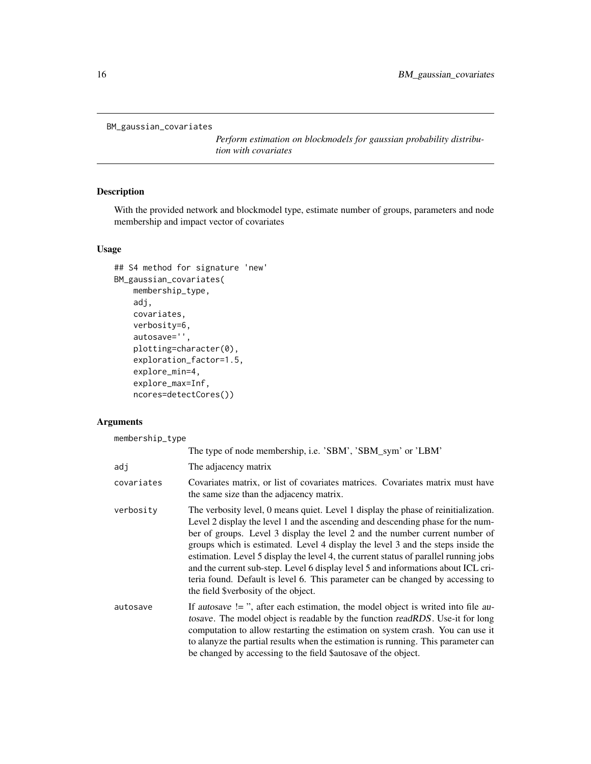```
BM_gaussian_covariates
```
*Perform estimation on blockmodels for gaussian probability distribution with covariates*

## Description

With the provided network and blockmodel type, estimate number of groups, parameters and node membership and impact vector of covariates

## Usage

```
## S4 method for signature 'new'
BM_gaussian_covariates(
    membership_type,
    adj,
    covariates,
    verbosity=6,
    autosave='',
    plotting=character(0),
    exploration_factor=1.5,
    explore_min=4,
    explore_max=Inf,
    ncores=detectCores())
```
#### Arguments

membership\_type

|            | The type of node membership, i.e. 'SBM', 'SBM_sym' or 'LBM'                                                                                                                                                                                                                                                                                                                                                                                                                                                                                                                                                                                    |
|------------|------------------------------------------------------------------------------------------------------------------------------------------------------------------------------------------------------------------------------------------------------------------------------------------------------------------------------------------------------------------------------------------------------------------------------------------------------------------------------------------------------------------------------------------------------------------------------------------------------------------------------------------------|
| adi        | The adjacency matrix                                                                                                                                                                                                                                                                                                                                                                                                                                                                                                                                                                                                                           |
| covariates | Covariates matrix, or list of covariates matrices. Covariates matrix must have<br>the same size than the adjacency matrix.                                                                                                                                                                                                                                                                                                                                                                                                                                                                                                                     |
| verbosity  | The verbosity level, 0 means quiet. Level 1 display the phase of reinitialization.<br>Level 2 display the level 1 and the ascending and descending phase for the num-<br>ber of groups. Level 3 display the level 2 and the number current number of<br>groups which is estimated. Level 4 display the level 3 and the steps inside the<br>estimation. Level 5 display the level 4, the current status of parallel running jobs<br>and the current sub-step. Level 6 display level 5 and informations about ICL cri-<br>teria found. Default is level 6. This parameter can be changed by accessing to<br>the field \$verbosity of the object. |
| autosave   | If autosave $!=$ ", after each estimation, the model object is writed into file au-<br>tosave. The model object is readable by the function readRDS. Use-it for long<br>computation to allow restarting the estimation on system crash. You can use it<br>to alanyze the partial results when the estimation is running. This parameter can<br>be changed by accessing to the field \$autosave of the object.                                                                                                                                                                                                                                  |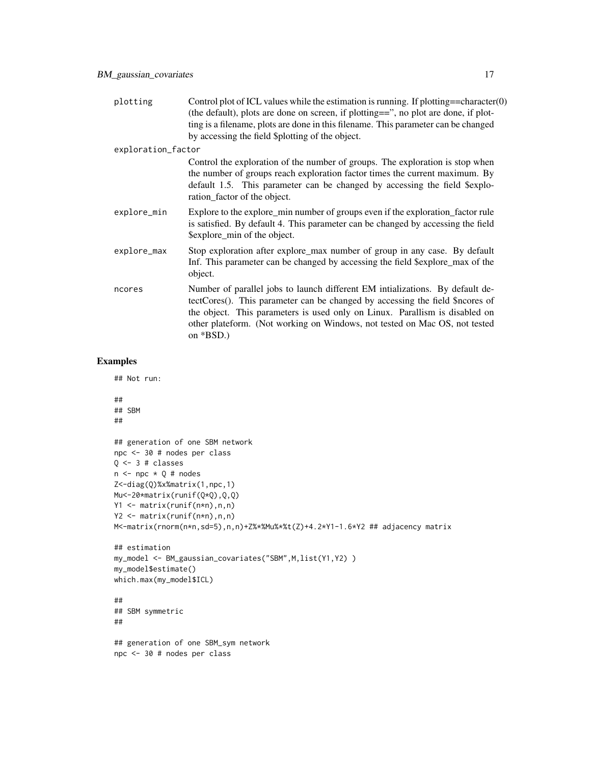| plotting           | Control plot of ICL values while the estimation is running. If plotting==character $(0)$<br>(the default), plots are done on screen, if plotting==", no plot are done, if plot-<br>ting is a filename, plots are done in this filename. This parameter can be changed<br>by accessing the field \$plotting of the object.                   |
|--------------------|---------------------------------------------------------------------------------------------------------------------------------------------------------------------------------------------------------------------------------------------------------------------------------------------------------------------------------------------|
| exploration_factor |                                                                                                                                                                                                                                                                                                                                             |
|                    | Control the exploration of the number of groups. The exploration is stop when<br>the number of groups reach exploration factor times the current maximum. By<br>default 1.5. This parameter can be changed by accessing the field \$explo-<br>ration_factor of the object.                                                                  |
| explore_min        | Explore to the explore_min number of groups even if the exploration_factor rule<br>is satisfied. By default 4. This parameter can be changed by accessing the field<br>\$explore_min of the object.                                                                                                                                         |
| explore_max        | Stop exploration after explore_max number of group in any case. By default<br>Inf. This parameter can be changed by accessing the field \$explore_max of the<br>object.                                                                                                                                                                     |
| ncores             | Number of parallel jobs to launch different EM intializations. By default de-<br>tectCores(). This parameter can be changed by accessing the field \$ncores of<br>the object. This parameters is used only on Linux. Parallism is disabled on<br>other plateform. (Not working on Windows, not tested on Mac OS, not tested<br>on $*BSD.$ ) |

```
## Not run:
##
## SBM
##
## generation of one SBM network
npc <- 30 # nodes per class
Q \leftarrow 3 # classes
n \leq -npc \times Q \# nodesZ<-diag(Q)%x%matrix(1,npc,1)
Mu<-20*matrix(runif(Q*Q),Q,Q)
Y1 <- matrix(runif(n*n),n,n)
Y2 <- matrix(runif(n*n),n,n)
M<-matrix(rnorm(n*n,sd=5),n,n)+Z%*%Mu%*%t(Z)+4.2*Y1-1.6*Y2 ## adjacency matrix
## estimation
my_model <- BM_gaussian_covariates("SBM",M,list(Y1,Y2) )
my_model$estimate()
which.max(my_model$ICL)
##
## SBM symmetric
##
## generation of one SBM_sym network
npc <- 30 # nodes per class
```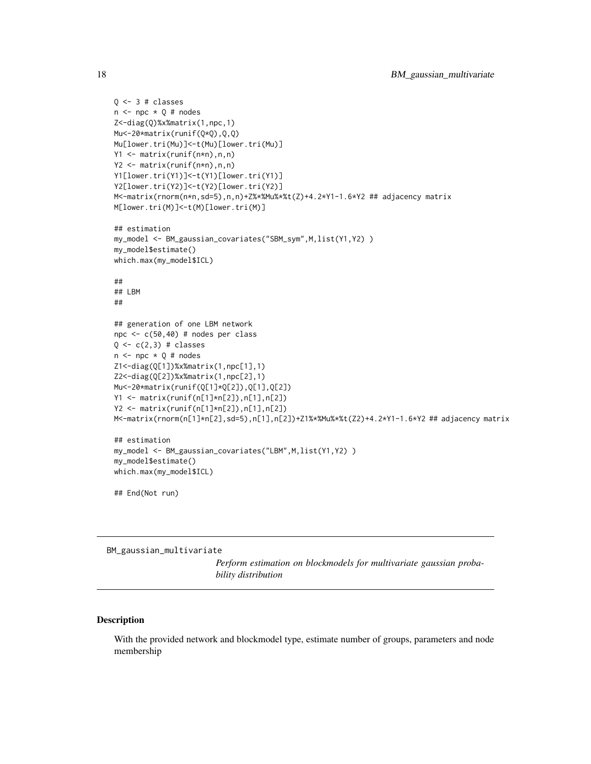```
Q \leftarrow 3 # classes
n \leq -npc \times Q \# nodesZ<-diag(Q)%x%matrix(1,npc,1)
Mu<-20*matrix(runif(Q*Q),Q,Q)
Mu[lower.tri(Mu)]<-t(Mu)[lower.tri(Mu)]
Y1 <- matrix(runif(n*n),n,n)
Y2 <- matrix(runif(n*n),n,n)
Y1[lower.tri(Y1)]<-t(Y1)[lower.tri(Y1)]
Y2[lower.tri(Y2)]<-t(Y2)[lower.tri(Y2)]
M<-matrix(rnorm(n*n,sd=5),n,n)+Z%*%Mu%*%t(Z)+4.2*Y1-1.6*Y2 ## adjacency matrix
M[lower.tri(M)]<-t(M)[lower.tri(M)]
## estimation
my_model <- BM_gaussian_covariates("SBM_sym",M,list(Y1,Y2) )
my_model$estimate()
which.max(my_model$ICL)
##
## LBM
##
## generation of one LBM network
npc <- c(50,40) # nodes per class
Q \leftarrow c(2,3) # classes
n \leq -npc \times Q \# nodesZ1<-diag(Q[1])%x%matrix(1,npc[1],1)
Z2<-diag(Q[2])%x%matrix(1,npc[2],1)
Mu<-20*matrix(runif(Q[1]*Q[2]),Q[1],Q[2])
Y1 <- matrix(runif(n[1]*n[2]),n[1],n[2])
Y2 <- matrix(runif(n[1]*n[2]),n[1],n[2])
M<-matrix(rnorm(n[1]*n[2],sd=5),n[1],n[2])+Z1%*%Mu%*%t(Z2)+4.2*Y1-1.6*Y2 ## adjacency matrix
## estimation
my_model <- BM_gaussian_covariates("LBM",M,list(Y1,Y2) )
my_model$estimate()
which.max(my_model$ICL)
## End(Not run)
```
BM\_gaussian\_multivariate

*Perform estimation on blockmodels for multivariate gaussian probability distribution*

## Description

With the provided network and blockmodel type, estimate number of groups, parameters and node membership

<span id="page-17-0"></span>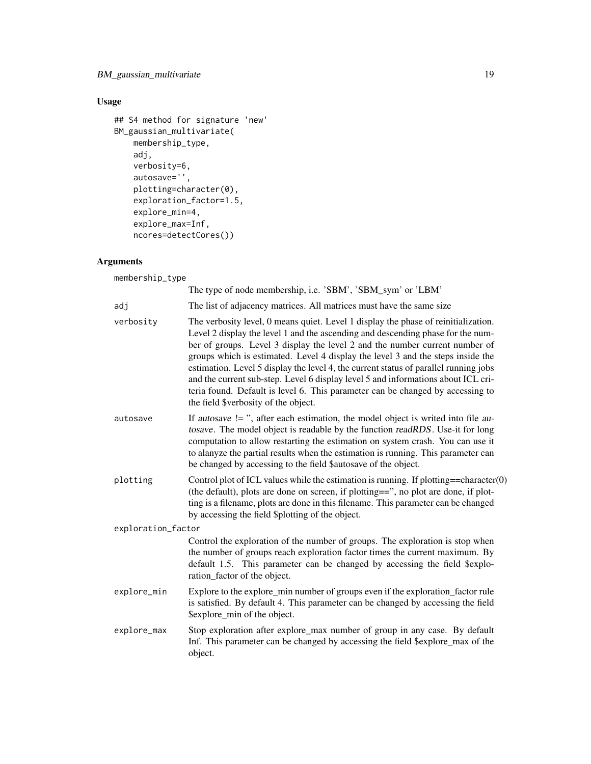## BM\_gaussian\_multivariate 19

## Usage

```
## S4 method for signature 'new'
BM_gaussian_multivariate(
   membership_type,
   adj,
   verbosity=6,
    autosave='',
    plotting=character(0),
   exploration_factor=1.5,
   explore_min=4,
   explore_max=Inf,
   ncores=detectCores())
```
## Arguments

membership\_type

|                    | The type of node membership, i.e. 'SBM', 'SBM_sym' or 'LBM'                                                                                                                                                                                                                                                                                                                                                                                                                                                                                                                                                                                    |
|--------------------|------------------------------------------------------------------------------------------------------------------------------------------------------------------------------------------------------------------------------------------------------------------------------------------------------------------------------------------------------------------------------------------------------------------------------------------------------------------------------------------------------------------------------------------------------------------------------------------------------------------------------------------------|
| adj                | The list of adjacency matrices. All matrices must have the same size                                                                                                                                                                                                                                                                                                                                                                                                                                                                                                                                                                           |
| verbosity          | The verbosity level, 0 means quiet. Level 1 display the phase of reinitialization.<br>Level 2 display the level 1 and the ascending and descending phase for the num-<br>ber of groups. Level 3 display the level 2 and the number current number of<br>groups which is estimated. Level 4 display the level 3 and the steps inside the<br>estimation. Level 5 display the level 4, the current status of parallel running jobs<br>and the current sub-step. Level 6 display level 5 and informations about ICL cri-<br>teria found. Default is level 6. This parameter can be changed by accessing to<br>the field \$verbosity of the object. |
| autosave           | If autosave $!=$ ", after each estimation, the model object is writed into file au-<br>tosave. The model object is readable by the function readRDS. Use-it for long<br>computation to allow restarting the estimation on system crash. You can use it<br>to alanyze the partial results when the estimation is running. This parameter can<br>be changed by accessing to the field \$autosave of the object.                                                                                                                                                                                                                                  |
| plotting           | Control plot of ICL values while the estimation is running. If plotting==character $(0)$<br>(the default), plots are done on screen, if plotting==", no plot are done, if plot-<br>ting is a filename, plots are done in this filename. This parameter can be changed<br>by accessing the field \$plotting of the object.                                                                                                                                                                                                                                                                                                                      |
| exploration_factor |                                                                                                                                                                                                                                                                                                                                                                                                                                                                                                                                                                                                                                                |
|                    | Control the exploration of the number of groups. The exploration is stop when<br>the number of groups reach exploration factor times the current maximum. By<br>default 1.5. This parameter can be changed by accessing the field \$explo-<br>ration_factor of the object.                                                                                                                                                                                                                                                                                                                                                                     |
| explore_min        | Explore to the explore_min number of groups even if the exploration_factor rule<br>is satisfied. By default 4. This parameter can be changed by accessing the field<br>\$explore_min of the object.                                                                                                                                                                                                                                                                                                                                                                                                                                            |
| explore_max        | Stop exploration after explore_max number of group in any case. By default<br>Inf. This parameter can be changed by accessing the field \$explore_max of the<br>object.                                                                                                                                                                                                                                                                                                                                                                                                                                                                        |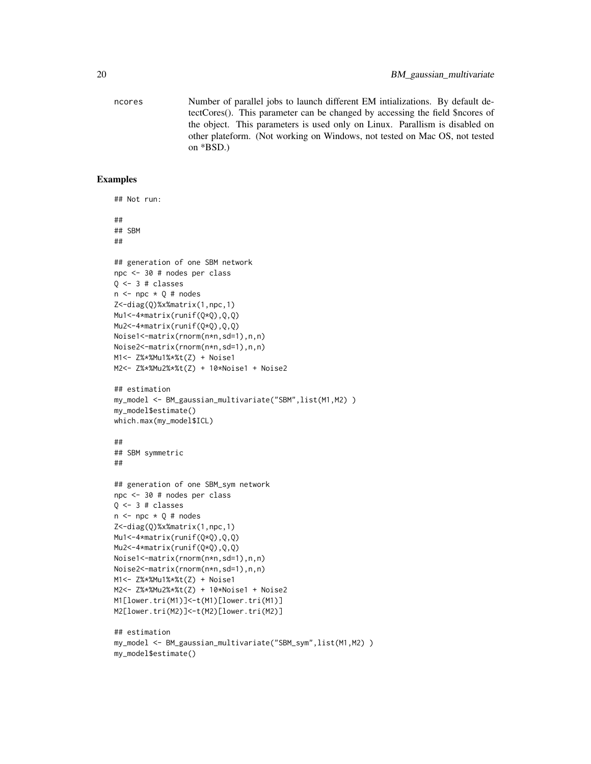ncores Number of parallel jobs to launch different EM intializations. By default detectCores(). This parameter can be changed by accessing the field \$ncores of the object. This parameters is used only on Linux. Parallism is disabled on other plateform. (Not working on Windows, not tested on Mac OS, not tested on \*BSD.)

```
## Not run:
##
## SBM
##
## generation of one SBM network
npc <- 30 # nodes per class
Q <- 3 # classes
n \leq -npc \times Q # nodes
Z<-diag(Q)%x%matrix(1,npc,1)
Mu1<-4*matrix(runif(Q*Q),Q,Q)
Mu2<-4*matrix(runif(Q*Q),Q,Q)
Noise1<-matrix(rnorm(n*n,sd=1),n,n)
Noise2<-matrix(rnorm(n*n,sd=1),n,n)
M1<- Z%*%Mu1%*%t(Z) + Noise1
M2<- Z%*%Mu2%*%t(Z) + 10*Noise1 + Noise2
## estimation
my_model <- BM_gaussian_multivariate("SBM",list(M1,M2) )
my_model$estimate()
which.max(my_model$ICL)
##
## SBM symmetric
##
## generation of one SBM_sym network
npc <- 30 # nodes per class
Q \leftarrow 3 # classes
n \leq -npc \times Q \# nodesZ<-diag(Q)%x%matrix(1,npc,1)
Mu1<-4*matrix(runif(Q*Q),Q,Q)
Mu2<-4*matrix(runif(Q*Q),Q,Q)
Noise1<-matrix(rnorm(n*n,sd=1),n,n)
Noise2<-matrix(rnorm(n*n,sd=1),n,n)
M1<- Z%*%Mu1%*%t(Z) + Noise1
M2<- Z%*%Mu2%*%t(Z) + 10*Noise1 + Noise2
M1[lower.tri(M1)]<-t(M1)[lower.tri(M1)]
M2[lower.tri(M2)]<-t(M2)[lower.tri(M2)]
## estimation
my_model <- BM_gaussian_multivariate("SBM_sym",list(M1,M2) )
my_model$estimate()
```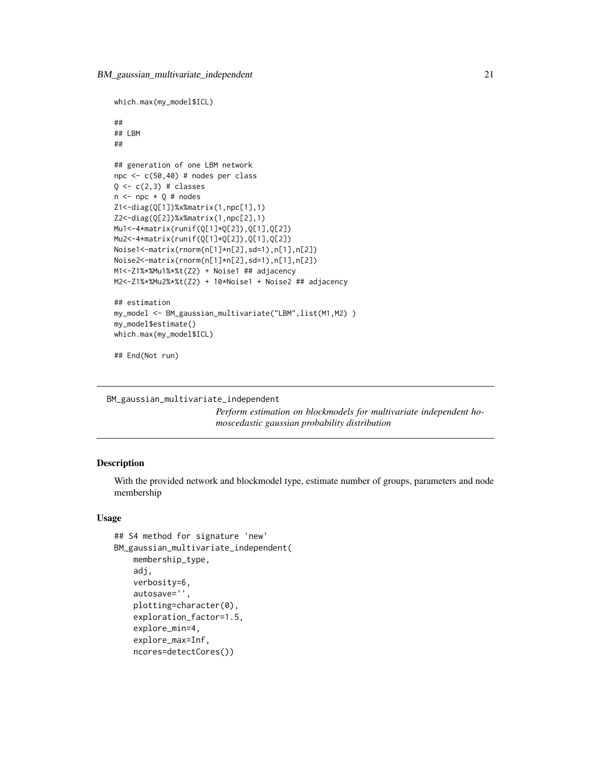```
which.max(my_model$ICL)
##
## LBM
##
## generation of one LBM network
npc <- c(50,40) # nodes per class
Q \leftarrow c(2,3) # classes
n \leq -npc \times Q \# nodesZ1<-diag(Q[1])%x%matrix(1,npc[1],1)
Z2<-diag(Q[2])%x%matrix(1,npc[2],1)
Mu1<-4*matrix(runif(Q[1]*Q[2]),Q[1],Q[2])
Mu2<-4*matrix(runif(Q[1]*Q[2]),Q[1],Q[2])
Noise1<-matrix(rnorm(n[1]*n[2],sd=1),n[1],n[2])
Noise2<-matrix(rnorm(n[1]*n[2],sd=1),n[1],n[2])
M1<-Z1%*%Mu1%*%t(Z2) + Noise1 ## adjacency
M2<-Z1%*%Mu2%*%t(Z2) + 10*Noise1 + Noise2 ## adjacency
## estimation
my_model <- BM_gaussian_multivariate("LBM",list(M1,M2) )
my_model$estimate()
which.max(my_model$ICL)
```
## End(Not run)

BM\_gaussian\_multivariate\_independent

*Perform estimation on blockmodels for multivariate independent homoscedastic gaussian probability distribution*

#### **Description**

With the provided network and blockmodel type, estimate number of groups, parameters and node membership

#### Usage

```
## S4 method for signature 'new'
BM_gaussian_multivariate_independent(
   membership_type,
    adj,
    verbosity=6,
    autosave='',
    plotting=character(0),
    exploration_factor=1.5,
    explore_min=4,
    explore_max=Inf,
    ncores=detectCores())
```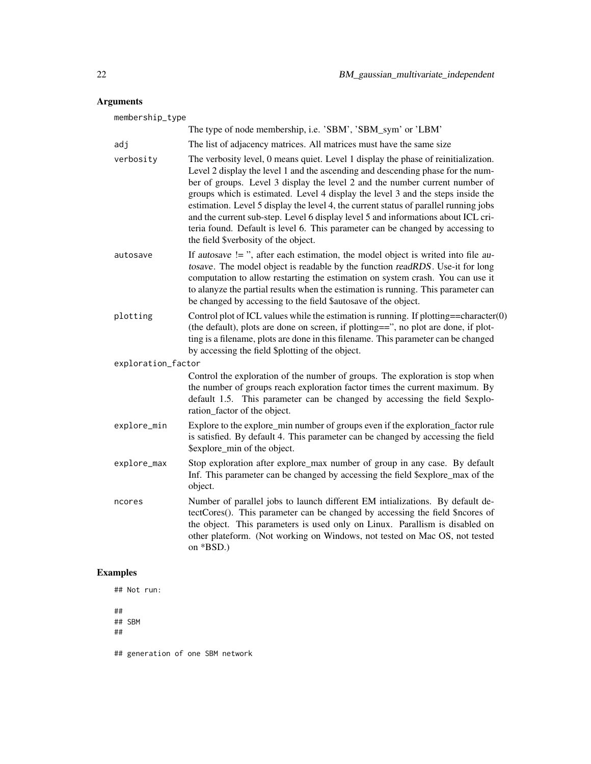## Arguments

| membership_type    |                                                                                                                                                                                                                                                                                                                                                                                                                                                                                                                                                                                                                                                |
|--------------------|------------------------------------------------------------------------------------------------------------------------------------------------------------------------------------------------------------------------------------------------------------------------------------------------------------------------------------------------------------------------------------------------------------------------------------------------------------------------------------------------------------------------------------------------------------------------------------------------------------------------------------------------|
|                    | The type of node membership, i.e. 'SBM', 'SBM_sym' or 'LBM'                                                                                                                                                                                                                                                                                                                                                                                                                                                                                                                                                                                    |
| adj                | The list of adjacency matrices. All matrices must have the same size                                                                                                                                                                                                                                                                                                                                                                                                                                                                                                                                                                           |
| verbosity          | The verbosity level, 0 means quiet. Level 1 display the phase of reinitialization.<br>Level 2 display the level 1 and the ascending and descending phase for the num-<br>ber of groups. Level 3 display the level 2 and the number current number of<br>groups which is estimated. Level 4 display the level 3 and the steps inside the<br>estimation. Level 5 display the level 4, the current status of parallel running jobs<br>and the current sub-step. Level 6 display level 5 and informations about ICL cri-<br>teria found. Default is level 6. This parameter can be changed by accessing to<br>the field \$verbosity of the object. |
| autosave           | If autosave $!=$ ", after each estimation, the model object is writed into file au-<br>tosave. The model object is readable by the function readRDS. Use-it for long<br>computation to allow restarting the estimation on system crash. You can use it<br>to alanyze the partial results when the estimation is running. This parameter can<br>be changed by accessing to the field \$autosave of the object.                                                                                                                                                                                                                                  |
| plotting           | Control plot of ICL values while the estimation is running. If plotting==character $(0)$<br>(the default), plots are done on screen, if plotting==", no plot are done, if plot-<br>ting is a filename, plots are done in this filename. This parameter can be changed<br>by accessing the field \$plotting of the object.                                                                                                                                                                                                                                                                                                                      |
| exploration_factor |                                                                                                                                                                                                                                                                                                                                                                                                                                                                                                                                                                                                                                                |
|                    | Control the exploration of the number of groups. The exploration is stop when<br>the number of groups reach exploration factor times the current maximum. By<br>default 1.5. This parameter can be changed by accessing the field \$explo-<br>ration_factor of the object.                                                                                                                                                                                                                                                                                                                                                                     |
| explore_min        | Explore to the explore_min number of groups even if the exploration_factor rule<br>is satisfied. By default 4. This parameter can be changed by accessing the field<br>\$explore_min of the object.                                                                                                                                                                                                                                                                                                                                                                                                                                            |
| explore_max        | Stop exploration after explore_max number of group in any case. By default<br>Inf. This parameter can be changed by accessing the field \$explore_max of the<br>object.                                                                                                                                                                                                                                                                                                                                                                                                                                                                        |
| ncores             | Number of parallel jobs to launch different EM intializations. By default de-<br>tectCores(). This parameter can be changed by accessing the field \$ncores of<br>the object. This parameters is used only on Linux. Parallism is disabled on<br>other plateform. (Not working on Windows, not tested on Mac OS, not tested<br>on *BSD.)                                                                                                                                                                                                                                                                                                       |

## Examples

## Not run:

## ## SBM

##

## generation of one SBM network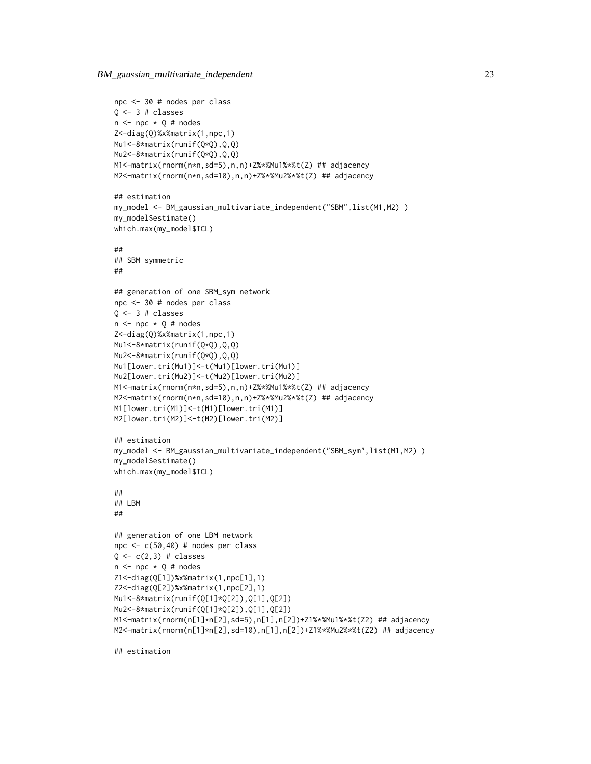BM\_gaussian\_multivariate\_independent 23

```
npc <- 30 # nodes per class
Q \leftarrow 3 # classes
n \leq -npc \times Q \# nodesZ<-diag(Q)%x%matrix(1,npc,1)
Mu1<-8*matrix(runif(Q*Q),Q,Q)
Mu2<-8*matrix(runif(Q*Q),Q,Q)
M1<-matrix(rnorm(n*n,sd=5),n,n)+Z%*%Mu1%*%t(Z) ## adjacency
M2<-matrix(rnorm(n*n,sd=10),n,n)+Z%*%Mu2%*%t(Z) ## adjacency
## estimation
my_model <- BM_gaussian_multivariate_independent("SBM",list(M1,M2) )
my_model$estimate()
which.max(my_model$ICL)
##
## SBM symmetric
##
## generation of one SBM_sym network
npc <- 30 # nodes per class
Q \leftarrow 3 # classes
n \leq -npc \times Q # nodes
Z<-diag(Q)%x%matrix(1,npc,1)
Mu1<-8*matrix(runif(Q*Q),Q,Q)
Mu2<-8*matrix(runif(Q*Q),Q,Q)
Mu1[lower.tri(Mu1)]<-t(Mu1)[lower.tri(Mu1)]
Mu2[lower.tri(Mu2)]<-t(Mu2)[lower.tri(Mu2)]
M1<-matrix(rnorm(n*n,sd=5),n,n)+Z%*%Mu1%*%t(Z) ## adjacency
M2<-matrix(rnorm(n*n,sd=10),n,n)+Z%*%Mu2%*%t(Z) ## adjacency
M1[lower.tri(M1)]<-t(M1)[lower.tri(M1)]
M2[lower.tri(M2)]<-t(M2)[lower.tri(M2)]
## estimation
my_model <- BM_gaussian_multivariate_independent("SBM_sym",list(M1,M2) )
my_model$estimate()
which.max(my_model$ICL)
##
## LBM
##
## generation of one LBM network
npc <- c(50,40) # nodes per class
Q \leftarrow c(2,3) # classes
n \leq -npc \times Q \# nodesZ1<-diag(Q[1])%x%matrix(1,npc[1],1)
Z2<-diag(Q[2])%x%matrix(1,npc[2],1)
Mu1<-8*matrix(runif(Q[1]*Q[2]),Q[1],Q[2])
Mu2<-8*matrix(runif(Q[1]*Q[2]),Q[1],Q[2])
M1<-matrix(rnorm(n[1]*n[2],sd=5),n[1],n[2])+Z1%*%Mu1%*%t(Z2) ## adjacency
M2<-matrix(rnorm(n[1]*n[2],sd=10),n[1],n[2])+Z1%*%Mu2%*%t(Z2) ## adjacency
```
## estimation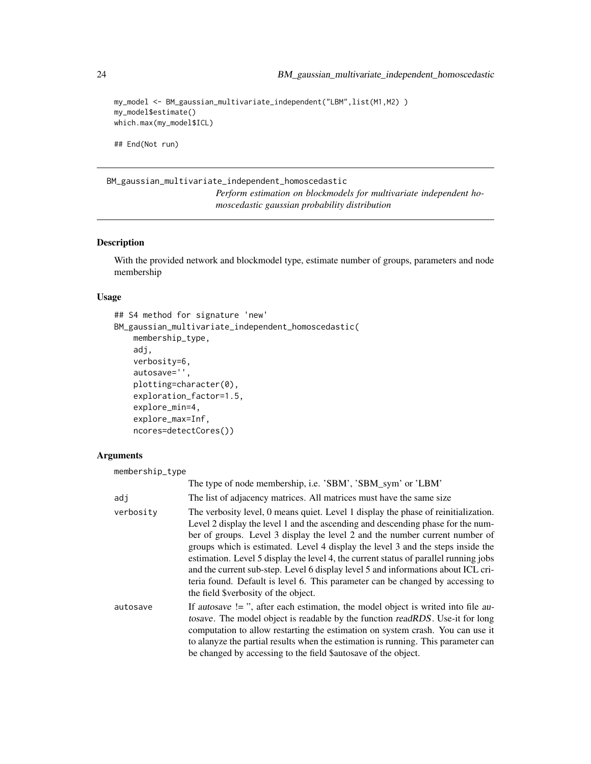```
my_model <- BM_gaussian_multivariate_independent("LBM",list(M1,M2) )
my_model$estimate()
which.max(my_model$ICL)
```
## End(Not run)

BM\_gaussian\_multivariate\_independent\_homoscedastic *Perform estimation on blockmodels for multivariate independent homoscedastic gaussian probability distribution*

#### **Description**

With the provided network and blockmodel type, estimate number of groups, parameters and node membership

#### Usage

```
## S4 method for signature 'new'
BM_gaussian_multivariate_independent_homoscedastic(
    membership_type,
    adj,
    verbosity=6,
    autosave='',
    plotting=character(0),
    exploration_factor=1.5,
    explore_min=4,
    explore_max=Inf,
    ncores=detectCores())
```
#### Arguments

membership\_type The type of node membership, i.e. 'SBM', 'SBM\_sym' or 'LBM' adj The list of adjacency matrices. All matrices must have the same size verbosity The verbosity level, 0 means quiet. Level 1 display the phase of reinitialization. Level 2 display the level 1 and the ascending and descending phase for the number of groups. Level 3 display the level 2 and the number current number of groups which is estimated. Level 4 display the level 3 and the steps inside the estimation. Level 5 display the level 4, the current status of parallel running jobs and the current sub-step. Level 6 display level 5 and informations about ICL criteria found. Default is level 6. This parameter can be changed by accessing to the field \$verbosity of the object. autosave If autosave  $l = "$ , after each estimation, the model object is writed into file autosave. The model object is readable by the function readRDS. Use-it for long computation to allow restarting the estimation on system crash. You can use it to alanyze the partial results when the estimation is running. This parameter can be changed by accessing to the field \$autosave of the object.

<span id="page-23-0"></span>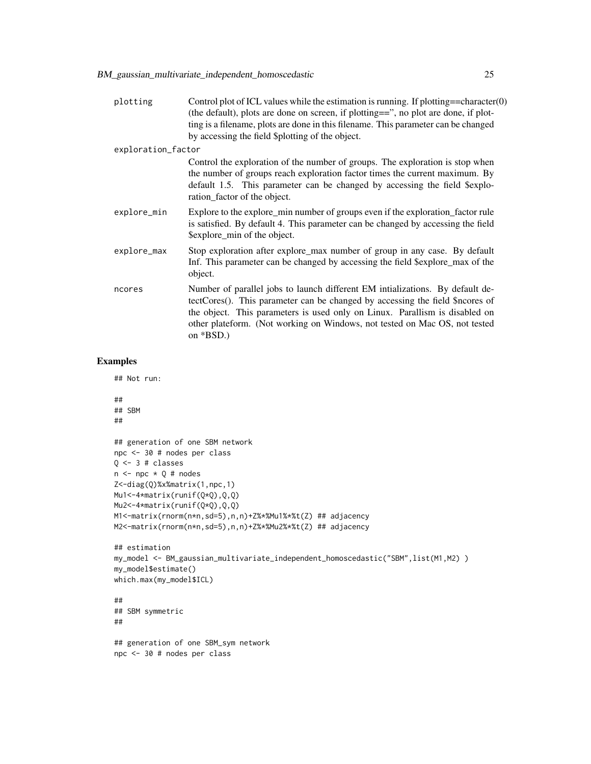| plotting           | Control plot of ICL values while the estimation is running. If plotting==character $(0)$<br>(the default), plots are done on screen, if plotting==", no plot are done, if plot-<br>ting is a filename, plots are done in this filename. This parameter can be changed<br>by accessing the field \$plotting of the object.                   |
|--------------------|---------------------------------------------------------------------------------------------------------------------------------------------------------------------------------------------------------------------------------------------------------------------------------------------------------------------------------------------|
| exploration_factor |                                                                                                                                                                                                                                                                                                                                             |
|                    | Control the exploration of the number of groups. The exploration is stop when<br>the number of groups reach exploration factor times the current maximum. By<br>default 1.5. This parameter can be changed by accessing the field \$explo-<br>ration_factor of the object.                                                                  |
| explore_min        | Explore to the explore_min number of groups even if the exploration_factor rule<br>is satisfied. By default 4. This parameter can be changed by accessing the field<br>\$explore_min of the object.                                                                                                                                         |
| explore_max        | Stop exploration after explore_max number of group in any case. By default<br>Inf. This parameter can be changed by accessing the field \$explore_max of the<br>object.                                                                                                                                                                     |
| ncores             | Number of parallel jobs to launch different EM intializations. By default de-<br>tectCores(). This parameter can be changed by accessing the field \$ncores of<br>the object. This parameters is used only on Linux. Parallism is disabled on<br>other plateform. (Not working on Windows, not tested on Mac OS, not tested<br>on $*BSD.$ ) |

```
## Not run:
##
## SBM
##
## generation of one SBM network
npc <- 30 # nodes per class
Q \leftarrow 3 # classes
n \leq -npc \times Q \# nodesZ<-diag(Q)%x%matrix(1,npc,1)
Mu1<-4*matrix(runif(Q*Q),Q,Q)
Mu2<-4*matrix(runif(Q*Q),Q,Q)
M1<-matrix(rnorm(n*n,sd=5),n,n)+Z%*%Mu1%*%t(Z) ## adjacency
M2<-matrix(rnorm(n*n,sd=5),n,n)+Z%*%Mu2%*%t(Z) ## adjacency
## estimation
my_model <- BM_gaussian_multivariate_independent_homoscedastic("SBM",list(M1,M2) )
my_model$estimate()
which.max(my_model$ICL)
##
## SBM symmetric
##
## generation of one SBM_sym network
npc <- 30 # nodes per class
```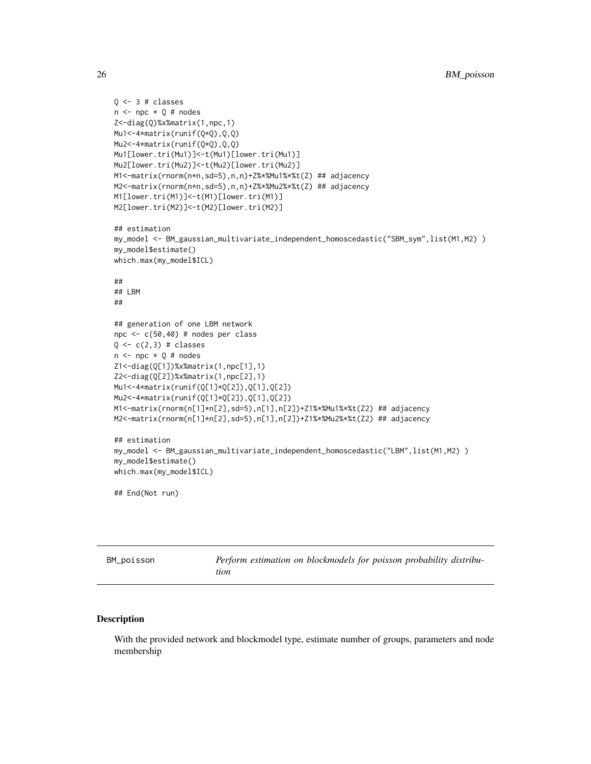```
Q \leftarrow 3 # classes
n \leq -npc \times Q \# nodesZ<-diag(Q)%x%matrix(1,npc,1)
Mu1<-4*matrix(runif(Q*Q),Q,Q)
Mu2<-4*matrix(runif(Q*Q),Q,Q)
Mu1[lower.tri(Mu1)]<-t(Mu1)[lower.tri(Mu1)]
Mu2[lower.tri(Mu2)]<-t(Mu2)[lower.tri(Mu2)]
M1<-matrix(rnorm(n*n,sd=5),n,n)+Z%*%Mu1%*%t(Z) ## adjacency
M2<-matrix(rnorm(n*n,sd=5),n,n)+Z%*%Mu2%*%t(Z) ## adjacency
M1[lower.tri(M1)]<-t(M1)[lower.tri(M1)]
M2[lower.tri(M2)]<-t(M2)[lower.tri(M2)]
## estimation
my_model <- BM_gaussian_multivariate_independent_homoscedastic("SBM_sym",list(M1,M2) )
my_model$estimate()
which.max(my_model$ICL)
##
## LBM
##
## generation of one LBM network
npc <- c(50,40) # nodes per class
Q \leftarrow c(2,3) # classes
n \leq -npc \times Q \# nodesZ1<-diag(Q[1])%x%matrix(1,npc[1],1)
Z2<-diag(Q[2])%x%matrix(1,npc[2],1)
Mu1<-4*matrix(runif(Q[1]*Q[2]),Q[1],Q[2])
Mu2<-4*matrix(runif(Q[1]*Q[2]),Q[1],Q[2])
M1<-matrix(rnorm(n[1]*n[2],sd=5),n[1],n[2])+Z1%*%Mu1%*%t(Z2) ## adjacency
M2<-matrix(rnorm(n[1]*n[2],sd=5),n[1],n[2])+Z1%*%Mu2%*%t(Z2) ## adjacency
## estimation
my_model <- BM_gaussian_multivariate_independent_homoscedastic("LBM",list(M1,M2) )
my_model$estimate()
which.max(my_model$ICL)
## End(Not run)
```
BM\_poisson *Perform estimation on blockmodels for poisson probability distribution*

#### Description

With the provided network and blockmodel type, estimate number of groups, parameters and node membership

<span id="page-25-0"></span>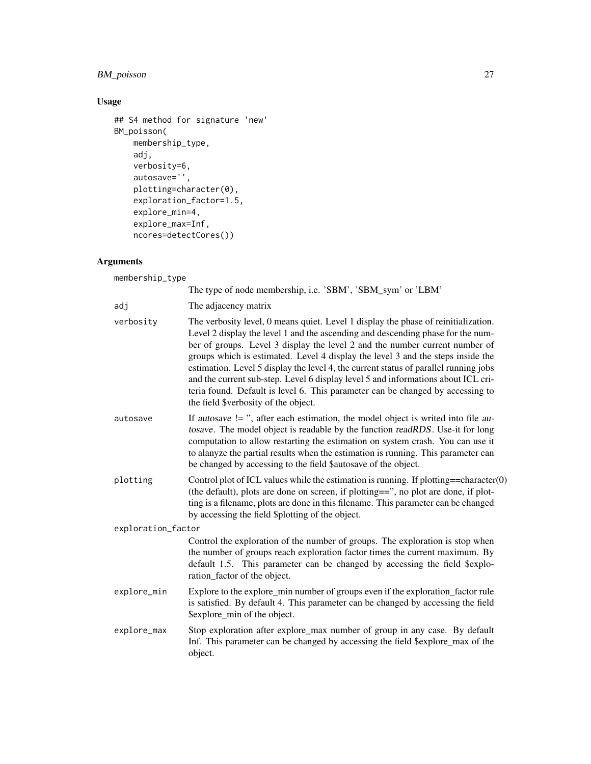## BM\_poisson 27

## Usage

```
## S4 method for signature 'new'
BM_poisson(
   membership_type,
   adj,
   verbosity=6,
    autosave='',
    plotting=character(0),
   exploration_factor=1.5,
   explore_min=4,
   explore_max=Inf,
   ncores=detectCores())
```
## Arguments

membership\_type

|                    | The type of node membership, i.e. 'SBM', 'SBM_sym' or 'LBM'                                                                                                                                                                                                                                                                                                                                                                                                                                                                                                                                                                                    |
|--------------------|------------------------------------------------------------------------------------------------------------------------------------------------------------------------------------------------------------------------------------------------------------------------------------------------------------------------------------------------------------------------------------------------------------------------------------------------------------------------------------------------------------------------------------------------------------------------------------------------------------------------------------------------|
| adj                | The adjacency matrix                                                                                                                                                                                                                                                                                                                                                                                                                                                                                                                                                                                                                           |
| verbosity          | The verbosity level, 0 means quiet. Level 1 display the phase of reinitialization.<br>Level 2 display the level 1 and the ascending and descending phase for the num-<br>ber of groups. Level 3 display the level 2 and the number current number of<br>groups which is estimated. Level 4 display the level 3 and the steps inside the<br>estimation. Level 5 display the level 4, the current status of parallel running jobs<br>and the current sub-step. Level 6 display level 5 and informations about ICL cri-<br>teria found. Default is level 6. This parameter can be changed by accessing to<br>the field \$verbosity of the object. |
| autosave           | If autosave $!=$ ", after each estimation, the model object is writed into file au-<br>tosave. The model object is readable by the function readRDS. Use-it for long<br>computation to allow restarting the estimation on system crash. You can use it<br>to alanyze the partial results when the estimation is running. This parameter can<br>be changed by accessing to the field \$autosave of the object.                                                                                                                                                                                                                                  |
| plotting           | Control plot of ICL values while the estimation is running. If plotting==character $(0)$<br>(the default), plots are done on screen, if plotting==", no plot are done, if plot-<br>ting is a filename, plots are done in this filename. This parameter can be changed<br>by accessing the field \$plotting of the object.                                                                                                                                                                                                                                                                                                                      |
| exploration_factor |                                                                                                                                                                                                                                                                                                                                                                                                                                                                                                                                                                                                                                                |
|                    | Control the exploration of the number of groups. The exploration is stop when<br>the number of groups reach exploration factor times the current maximum. By<br>default 1.5. This parameter can be changed by accessing the field \$explo-<br>ration_factor of the object.                                                                                                                                                                                                                                                                                                                                                                     |
| explore_min        | Explore to the explore_min number of groups even if the exploration_factor rule<br>is satisfied. By default 4. This parameter can be changed by accessing the field<br>\$explore_min of the object.                                                                                                                                                                                                                                                                                                                                                                                                                                            |
| explore_max        | Stop exploration after explore_max number of group in any case. By default<br>Inf. This parameter can be changed by accessing the field \$explore_max of the<br>object.                                                                                                                                                                                                                                                                                                                                                                                                                                                                        |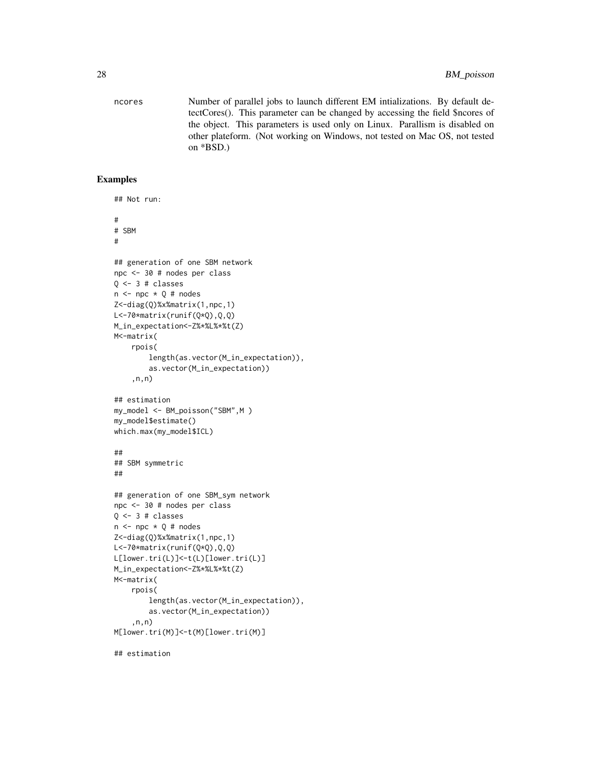ncores Number of parallel jobs to launch different EM intializations. By default detectCores(). This parameter can be changed by accessing the field \$ncores of the object. This parameters is used only on Linux. Parallism is disabled on other plateform. (Not working on Windows, not tested on Mac OS, not tested on \*BSD.)

### Examples

```
## Not run:
#
# SBM
#
## generation of one SBM network
npc <- 30 # nodes per class
Q \leftarrow 3 # classes
n \leq -npc \times Q \# nodesZ<-diag(Q)%x%matrix(1,npc,1)
L<-70*matrix(runif(Q*Q),Q,Q)
M_in_expectation<-Z%*%L%*%t(Z)
M<-matrix(
    rpois(
        length(as.vector(M_in_expectation)),
        as.vector(M_in_expectation))
    ,n,n)
## estimation
my_model <- BM_poisson("SBM",M )
my_model$estimate()
which.max(my_model$ICL)
##
## SBM symmetric
##
## generation of one SBM_sym network
npc <- 30 # nodes per class
Q \leftarrow 3 # classes
n \leq -npc \times Q# nodes
Z<-diag(Q)%x%matrix(1,npc,1)
L<-70*matrix(runif(Q*Q),Q,Q)
L[lower.tri(L)]<-t(L)[lower.tri(L)]
M_in_expectation<-Z%*%L%*%t(Z)
M<-matrix(
    rpois(
        length(as.vector(M_in_expectation)),
        as.vector(M_in_expectation))
    ,n,n)
M[lower.tri(M)]<-t(M)[lower.tri(M)]
```
## estimation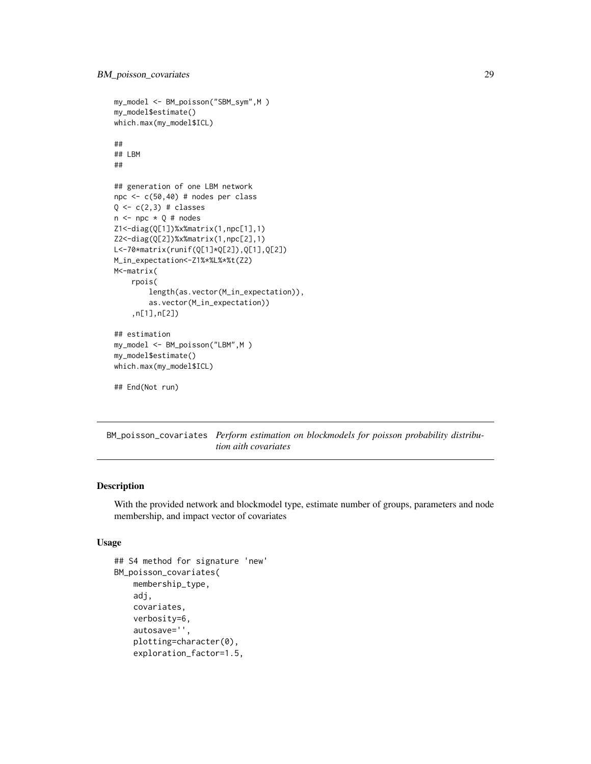```
my_model <- BM_poisson("SBM_sym",M )
my_model$estimate()
which.max(my_model$ICL)
##
## LBM
##
## generation of one LBM network
npc <- c(50,40) # nodes per class
Q \leftarrow c(2,3) # classes
n \leq -npc \times Q \# nodesZ1<-diag(Q[1])%x%matrix(1,npc[1],1)
Z2<-diag(Q[2])%x%matrix(1,npc[2],1)
L<-70*matrix(runif(Q[1]*Q[2]),Q[1],Q[2])
M_in_expectation<-Z1%*%L%*%t(Z2)
M<-matrix(
    rpois(
        length(as.vector(M_in_expectation)),
        as.vector(M_in_expectation))
    ,n[1],n[2])
## estimation
my_model <- BM_poisson("LBM",M )
my_model$estimate()
which.max(my_model$ICL)
## End(Not run)
```
BM\_poisson\_covariates *Perform estimation on blockmodels for poisson probability distribu-*

*tion aith covariates*

### Description

With the provided network and blockmodel type, estimate number of groups, parameters and node membership, and impact vector of covariates

#### Usage

```
## S4 method for signature 'new'
BM_poisson_covariates(
   membership_type,
    adj,
    covariates,
    verbosity=6,
    autosave='',
    plotting=character(0),
    exploration_factor=1.5,
```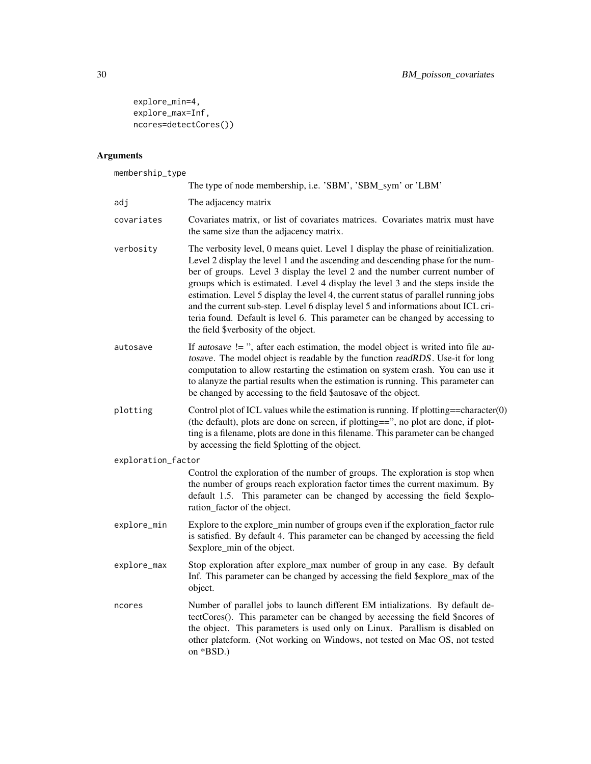```
explore_min=4,
explore_max=Inf,
ncores=detectCores())
```
## Arguments

membership\_type

| $m$ c $m$ oci $m+p$ cypc |                                                                                                                                                                                                                                                                                                                                                                                                                                                                                                                                                                                                                                                |
|--------------------------|------------------------------------------------------------------------------------------------------------------------------------------------------------------------------------------------------------------------------------------------------------------------------------------------------------------------------------------------------------------------------------------------------------------------------------------------------------------------------------------------------------------------------------------------------------------------------------------------------------------------------------------------|
|                          | The type of node membership, i.e. 'SBM', 'SBM_sym' or 'LBM'                                                                                                                                                                                                                                                                                                                                                                                                                                                                                                                                                                                    |
| adj                      | The adjacency matrix                                                                                                                                                                                                                                                                                                                                                                                                                                                                                                                                                                                                                           |
| covariates               | Covariates matrix, or list of covariates matrices. Covariates matrix must have<br>the same size than the adjacency matrix.                                                                                                                                                                                                                                                                                                                                                                                                                                                                                                                     |
| verbosity                | The verbosity level, 0 means quiet. Level 1 display the phase of reinitialization.<br>Level 2 display the level 1 and the ascending and descending phase for the num-<br>ber of groups. Level 3 display the level 2 and the number current number of<br>groups which is estimated. Level 4 display the level 3 and the steps inside the<br>estimation. Level 5 display the level 4, the current status of parallel running jobs<br>and the current sub-step. Level 6 display level 5 and informations about ICL cri-<br>teria found. Default is level 6. This parameter can be changed by accessing to<br>the field \$verbosity of the object. |
| autosave                 | If autosave $!=$ ", after each estimation, the model object is writed into file au-<br>tosave. The model object is readable by the function readRDS. Use-it for long<br>computation to allow restarting the estimation on system crash. You can use it<br>to alanyze the partial results when the estimation is running. This parameter can<br>be changed by accessing to the field \$autosave of the object.                                                                                                                                                                                                                                  |
| plotting                 | Control plot of ICL values while the estimation is running. If plotting==character $(0)$<br>(the default), plots are done on screen, if plotting==", no plot are done, if plot-<br>ting is a filename, plots are done in this filename. This parameter can be changed<br>by accessing the field \$plotting of the object.                                                                                                                                                                                                                                                                                                                      |
| exploration_factor       |                                                                                                                                                                                                                                                                                                                                                                                                                                                                                                                                                                                                                                                |
|                          | Control the exploration of the number of groups. The exploration is stop when<br>the number of groups reach exploration factor times the current maximum. By<br>default 1.5. This parameter can be changed by accessing the field \$explo-<br>ration_factor of the object.                                                                                                                                                                                                                                                                                                                                                                     |
| explore_min              | Explore to the explore_min number of groups even if the exploration_factor rule<br>is satisfied. By default 4. This parameter can be changed by accessing the field<br>\$explore_min of the object.                                                                                                                                                                                                                                                                                                                                                                                                                                            |
| explore_max              | Stop exploration after explore_max number of group in any case. By default<br>Inf. This parameter can be changed by accessing the field \$explore_max of the<br>object.                                                                                                                                                                                                                                                                                                                                                                                                                                                                        |
| ncores                   | Number of parallel jobs to launch different EM intializations. By default de-<br>tectCores(). This parameter can be changed by accessing the field \$ncores of<br>the object. This parameters is used only on Linux. Parallism is disabled on<br>other plateform. (Not working on Windows, not tested on Mac OS, not tested<br>on *BSD.)                                                                                                                                                                                                                                                                                                       |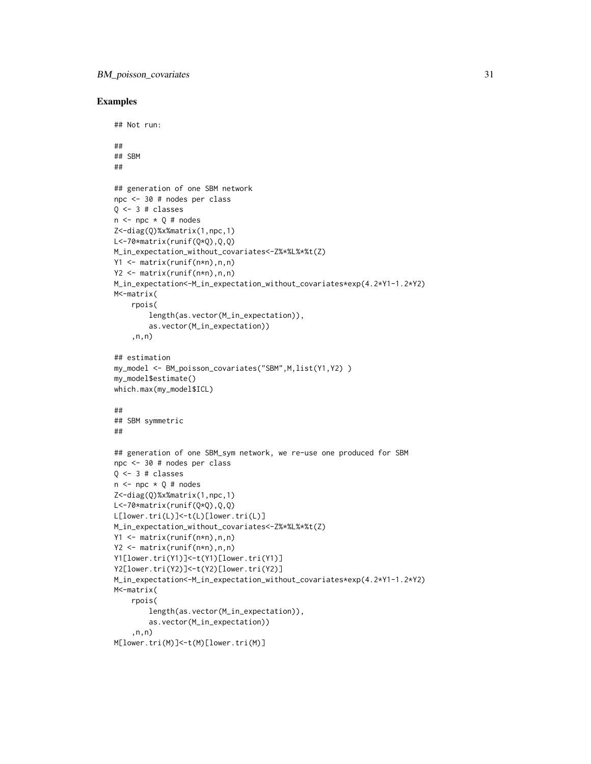```
## Not run:
##
## SBM
##
## generation of one SBM network
npc <- 30 # nodes per class
0 \le -3 # classes
n \leq -npc \times Q \# nodesZ<-diag(Q)%x%matrix(1,npc,1)
L<-70*matrix(runif(Q*Q),Q,Q)
M_in_expectation_without_covariates<-Z%*%L%*%t(Z)
Y1 <- matrix(runif(n*n),n,n)
Y2 <- matrix(runif(n*n),n,n)
M_in_expectation<-M_in_expectation_without_covariates*exp(4.2*Y1-1.2*Y2)
M<-matrix(
    rpois(
        length(as.vector(M_in_expectation)),
        as.vector(M_in_expectation))
    ,n,n)
## estimation
my_model <- BM_poisson_covariates("SBM",M,list(Y1,Y2) )
my_model$estimate()
which.max(my_model$ICL)
##
## SBM symmetric
##
## generation of one SBM_sym network, we re-use one produced for SBM
npc <- 30 # nodes per class
Q \leftarrow 3 # classes
n \leq -npc \times 0 # nodes
Z<-diag(Q)%x%matrix(1,npc,1)
L<-70*matrix(runif(Q*Q),Q,Q)
L[lower.tri(L)]<-t(L)[lower.tri(L)]
M_in_expectation_without_covariates<-Z%*%L%*%t(Z)
Y1 <- matrix(runif(n*n),n,n)
Y2 <- matrix(runif(n*n),n,n)
Y1[lower.tri(Y1)]<-t(Y1)[lower.tri(Y1)]
Y2[lower.tri(Y2)]<-t(Y2)[lower.tri(Y2)]
M_in_expectation<-M_in_expectation_without_covariates*exp(4.2*Y1-1.2*Y2)
M<-matrix(
    rpois(
        length(as.vector(M_in_expectation)),
        as.vector(M_in_expectation))
    ,n,n)
M[lower.tri(M)]<-t(M)[lower.tri(M)]
```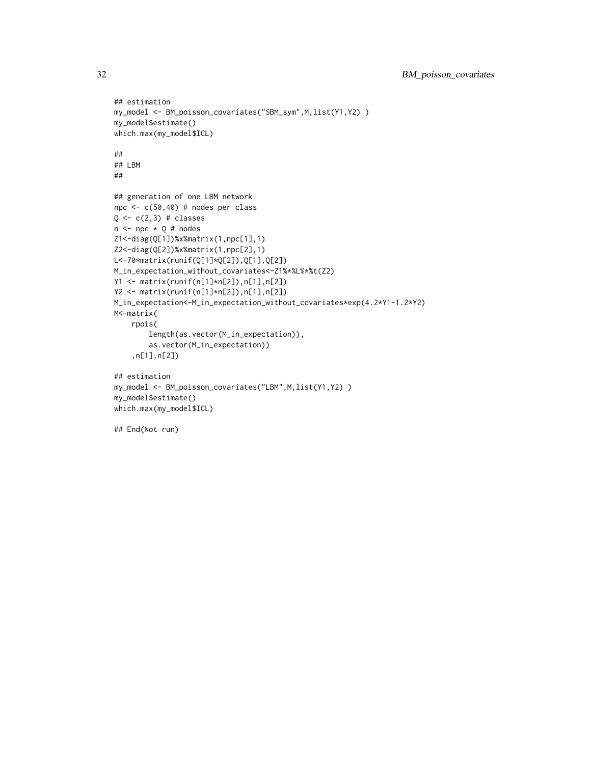```
## estimation
my_model <- BM_poisson_covariates("SBM_sym",M,list(Y1,Y2) )
my_model$estimate()
which.max(my_model$ICL)
##
## LBM
##
## generation of one LBM network
npc <- c(50,40) # nodes per class
Q \leftarrow c(2,3) # classes
n \leq -npc \times Q \# nodesZ1<-diag(Q[1])%x%matrix(1,npc[1],1)
Z2<-diag(Q[2])%x%matrix(1,npc[2],1)
L<-70*matrix(runif(Q[1]*Q[2]),Q[1],Q[2])
M_in_expectation_without_covariates<-Z1%*%L%*%t(Z2)
Y1 <- matrix(runif(n[1]*n[2]),n[1],n[2])
Y2 <- matrix(runif(n[1]*n[2]),n[1],n[2])
M_in_expectation<-M_in_expectation_without_covariates*exp(4.2*Y1-1.2*Y2)
M<-matrix(
    rpois(
        length(as.vector(M_in_expectation)),
        as.vector(M_in_expectation))
    ,n[1],n[2])
## estimation
my_model <- BM_poisson_covariates("LBM",M,list(Y1,Y2) )
my_model$estimate()
which.max(my_model$ICL)
## End(Not run)
```